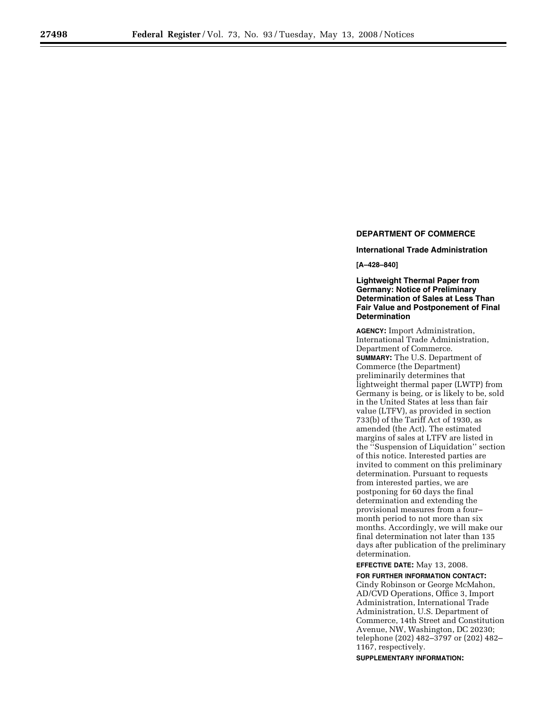# **DEPARTMENT OF COMMERCE**

**International Trade Administration** 

**[A–428–840]** 

## **Lightweight Thermal Paper from Germany: Notice of Preliminary Determination of Sales at Less Than Fair Value and Postponement of Final Determination**

**AGENCY:** Import Administration, International Trade Administration, Department of Commerce. **SUMMARY:** The U.S. Department of Commerce (the Department) preliminarily determines that lightweight thermal paper (LWTP) from Germany is being, or is likely to be, sold in the United States at less than fair value (LTFV), as provided in section 733(b) of the Tariff Act of 1930, as amended (the Act). The estimated margins of sales at LTFV are listed in the ''Suspension of Liquidation'' section of this notice. Interested parties are invited to comment on this preliminary determination. Pursuant to requests from interested parties, we are postponing for 60 days the final determination and extending the provisional measures from a four– month period to not more than six months. Accordingly, we will make our final determination not later than 135 days after publication of the preliminary determination.

**EFFECTIVE DATE:** May 13, 2008.

**FOR FURTHER INFORMATION CONTACT:**  Cindy Robinson or George McMahon, AD/CVD Operations, Office 3, Import Administration, International Trade Administration, U.S. Department of Commerce, 14th Street and Constitution Avenue, NW, Washington, DC 20230; telephone (202) 482–3797 or (202) 482– 1167, respectively.

**SUPPLEMENTARY INFORMATION:**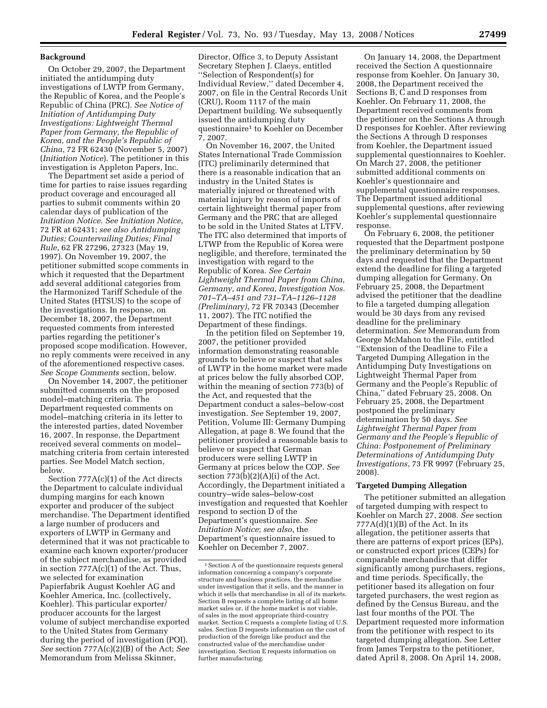On October 29, 2007, the Department initiated the antidumping duty investigations of LWTP from Germany, the Republic of Korea, and the People's Republic of China (PRC). *See Notice of Initiation of Antidumping Duty Investigations: Lightweight Thermal Paper from Germany, the Republic of Korea, and the People's Republic of China*, 72 FR 62430 (November 5, 2007) (*Initiation Notice*). The petitioner in this investigation is Appleton Papers, Inc.

**Background** 

The Department set aside a period of time for parties to raise issues regarding product coverage and encouraged all parties to submit comments within 20 calendar days of publication of the *Initiation Notice*. *See Initiation Notice*, 72 FR at 62431; *see also Antidumping Duties; Countervailing Duties; Final Rule*, 62 FR 27296, 27323 (May 19, 1997). On November 19, 2007, the petitioner submitted scope comments in which it requested that the Department add several additional categories from the Harmonized Tariff Schedule of the United States (HTSUS) to the scope of the investigations. In response, on December 18, 2007, the Department requested comments from interested parties regarding the petitioner's proposed scope modification. However, no reply comments were received in any of the aforementioned respective cases. *See Scope Comments* section, below.

On November 14, 2007, the petitioner submitted comments on the proposed model–matching criteria. The Department requested comments on model–matching criteria in its letter to the interested parties, dated November 16, 2007. In response, the Department received several comments on model– matching criteria from certain interested parties. See Model Match section, below.

Section 777A(c)(1) of the Act directs the Department to calculate individual dumping margins for each known exporter and producer of the subject merchandise. The Department identified a large number of producers and exporters of LWTP in Germany and determined that it was not practicable to examine each known exporter/producer of the subject merchandise, as provided in section 777A(c)(1) of the Act. Thus, we selected for examination Papierfabrik August Koehler AG and Koehler America, Inc. (collectively, Koehler). This particular exporter/ producer accounts for the largest volume of subject merchandise exported to the United States from Germany during the period of investigation (POI). *See* section 777A(c)(2)(B) of the Act; *See*  Memorandum from Melissa Skinner,

Director, Office 3, to Deputy Assistant Secretary Stephen J. Claeys, entitled ''Selection of Respondent(s) for Individual Review,'' dated December 4, 2007, on file in the Central Records Unit (CRU), Room 1117 of the main Department building. We subsequently issued the antidumping duty questionnaire1 to Koehler on December 7, 2007.

On November 16, 2007, the United States International Trade Commission (ITC) preliminarily determined that there is a reasonable indication that an industry in the United States is materially injured or threatened with material injury by reason of imports of certain lightweight thermal paper from Germany and the PRC that are alleged to be sold in the United States at LTFV. The ITC also determined that imports of LTWP from the Republic of Korea were negligible, and therefore, terminated the investigation with regard to the Republic of Korea. *See Certain Lightweight Thermal Paper from China, Germany, and Korea*, *Investigation Nos. 701–TA–451 and 731–TA–1126–1128 (Preliminary)*, 72 FR 70343 (December 11, 2007). The ITC notified the Department of these findings.

In the petition filed on September 19, 2007, the petitioner provided information demonstrating reasonable grounds to believe or suspect that sales of LWTP in the home market were made at prices below the fully absorbed COP, within the meaning of section 773(b) of the Act, and requested that the Department conduct a sales–below-cost investigation. *See* September 19, 2007, Petition, Volume III: Germany Dumping Allegation, at page 8. We found that the petitioner provided a reasonable basis to believe or suspect that German producers were selling LWTP in Germany at prices below the COP. *See*  section  $773(b)(2)(A)(i)$  of the Act. Accordingly, the Department initiated a country–wide sales–below-cost investigation and requested that Koehler respond to section D of the Department's questionnaire. *See Initiation Notice*; *see also*, the Department's questionnaire issued to Koehler on December 7, 2007.

On January 14, 2008, the Department received the Section A questionnaire response from Koehler. On January 30, 2008, the Department received the Sections B, C and D responses from Koehler. On February 11, 2008, the Department received comments from the petitioner on the Sections A through D responses for Koehler. After reviewing the Sections A through D responses from Koehler, the Department issued supplemental questionnaires to Koehler. On March 27, 2008, the petitioner submitted additional comments on Koehler's questionnaire and supplemental questionnaire responses. The Department issued additional supplemental questions, after reviewing Koehler's supplemental questionnaire response.

On February 6, 2008, the petitioner requested that the Department postpone the preliminary determination by 50 days and requested that the Department extend the deadline for filing a targeted dumping allegation for Germany. On February 25, 2008, the Department advised the petitioner that the deadline to file a targeted dumping allegation would be 30 days from any revised deadline for the preliminary determination. *See* Memorandum from George McMahon to the File, entitled ''Extension of the Deadline to File a Targeted Dumping Allegation in the Antidumping Duty Investigations on Lightweight Thermal Paper from Germany and the People's Republic of China,'' dated February 25, 2008. On February 25, 2008, the Department postponed the preliminary determination by 50 days. *See Lightweight Thermal Paper from Germany and the People's Republic of China: Postponement of Preliminary Determinations of Antidumping Duty Investigations*, 73 FR 9997 (February 25, 2008).

#### **Targeted Dumping Allegation**

The petitioner submitted an allegation of targeted dumping with respect to Koehler on March 27, 2008. *See* section  $777A(d)(1)(B)$  of the Act. In its allegation, the petitioner asserts that there are patterns of export prices (EPs), or constructed export prices (CEPs) for comparable merchandise that differ significantly among purchasers, regions, and time periods. Specifically, the petitioner based its allegation on four targeted purchasers, the west region as defined by the Census Bureau, and the last four months of the POI. The Department requested more information from the petitioner with respect to its targeted dumping allegation. See Letter from James Terpstra to the petitioner, dated April 8, 2008. On April 14, 2008,

<sup>1</sup>Section A of the questionnaire requests general information concerning a company's corporate structure and business practices, the merchandise under investigation that it sells, and the manner in which it sells that merchandise in all of its markets. Section B requests a complete listing of all home market sales or, if the home market is not viable, of sales in the most appropriate third-country market. Section C requests a complete listing of U.S. sales. Section D requests information on the cost of production of the foreign like product and the constructed value of the merchandise under investigation. Section E requests information on further manufacturing.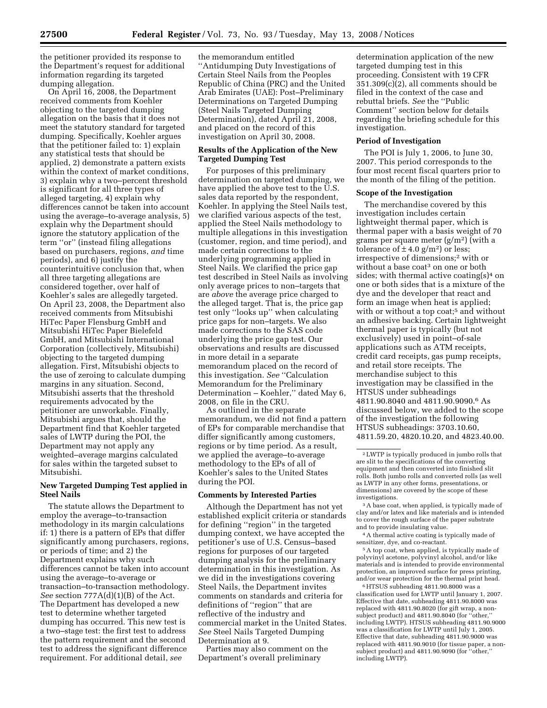the petitioner provided its response to the Department's request for additional information regarding its targeted dumping allegation.

On April 16, 2008, the Department received comments from Koehler objecting to the targeted dumping allegation on the basis that it does not meet the statutory standard for targeted dumping. Specifically, Koehler argues that the petitioner failed to: 1) explain any statistical tests that should be applied, 2) demonstrate a pattern exists within the context of market conditions, 3) explain why a two–percent threshold is significant for all three types of alleged targeting, 4) explain why differences cannot be taken into account using the average–to-average analysis, 5) explain why the Department should ignore the statutory application of the term ''or'' (instead filing allegations based on purchasers, regions, *and* time periods), and 6) justify the counterintuitive conclusion that, when all three targeting allegations are considered together, over half of Koehler's sales are allegedly targeted. On April 23, 2008, the Department also received comments from Mitsubishi HiTec Paper Flensburg GmbH and Mitsubishi HiTec Paper Bielefeld GmbH, and Mitsubishi International Corporation (collectively, Mitsubishi) objecting to the targeted dumping allegation. First, Mitsubishi objects to the use of zeroing to calculate dumping margins in any situation. Second, Mitsubishi asserts that the threshold requirements advocated by the petitioner are unworkable. Finally, Mitsubishi argues that, should the Department find that Koehler targeted sales of LWTP during the POI, the Department may not apply any weighted–average margins calculated for sales within the targeted subset to Mitsubishi.

## **New Targeted Dumping Test applied in Steel Nails**

The statute allows the Department to employ the average–to-transaction methodology in its margin calculations if: 1) there is a pattern of EPs that differ significantly among purchasers, regions, or periods of time; and 2) the Department explains why such differences cannot be taken into account using the average–to-average or transaction–to-transaction methodology. *See* section 777A(d)(1)(B) of the Act. The Department has developed a new test to determine whether targeted dumping has occurred. This new test is a two–stage test: the first test to address the pattern requirement and the second test to address the significant difference requirement. For additional detail, *see* 

the memorandum entitled ''Antidumping Duty Investigations of Certain Steel Nails from the Peoples Republic of China (PRC) and the United Arab Emirates (UAE): Post–Preliminary Determinations on Targeted Dumping (Steel Nails Targeted Dumping Determination), dated April 21, 2008, and placed on the record of this investigation on April 30, 2008.

#### **Results of the Application of the New Targeted Dumping Test**

For purposes of this preliminary determination on targeted dumping, we have applied the above test to the U.S. sales data reported by the respondent, Koehler. In applying the Steel Nails test, we clarified various aspects of the test, applied the Steel Nails methodology to multiple allegations in this investigation (customer, region, and time period), and made certain corrections to the underlying programming applied in Steel Nails. We clarified the price gap test described in Steel Nails as involving only average prices to non–targets that are *above* the average price charged to the alleged target. That is, the price gap test only ''looks up'' when calculating price gaps for non–targets. We also made corrections to the SAS code underlying the price gap test. Our observations and results are discussed in more detail in a separate memorandum placed on the record of this investigation. *See* ''Calculation Memorandum for the Preliminary Determination – Koehler,'' dated May 6, 2008, on file in the CRU.

As outlined in the separate memorandum, we did not find a pattern of EPs for comparable merchandise that differ significantly among customers, regions or by time period. As a result, we applied the average–to-average methodology to the EPs of all of Koehler's sales to the United States during the POI.

### **Comments by Interested Parties**

Although the Department has not yet established explicit criteria or standards for defining ''region'' in the targeted dumping context, we have accepted the petitioner's use of U.S. Census–based regions for purposes of our targeted dumping analysis for the preliminary determination in this investigation. As we did in the investigations covering Steel Nails, the Department invites comments on standards and criteria for definitions of ''region'' that are reflective of the industry and commercial market in the United States. *See* Steel Nails Targeted Dumping Determination at 9.

Parties may also comment on the Department's overall preliminary

determination application of the new targeted dumping test in this proceeding. Consistent with 19 CFR 351.309(c)(2), all comments should be filed in the context of the case and rebuttal briefs. *See* the ''Public Comment'' section below for details regarding the briefing schedule for this investigation.

#### **Period of Investigation**

The POI is July 1, 2006, to June 30, 2007. This period corresponds to the four most recent fiscal quarters prior to the month of the filing of the petition.

#### **Scope of the Investigation**

The merchandise covered by this investigation includes certain lightweight thermal paper, which is thermal paper with a basis weight of 70 grams per square meter  $(g/m^2)$  (with a tolerance of  $\pm$  4.0 g/m<sup>2</sup>) or less; irrespective of dimensions;2 with or without a base coat<sup>3</sup> on one or both sides; with thermal active coating $(s)^4$  on one or both sides that is a mixture of the dye and the developer that react and form an image when heat is applied; with or without a top coat;<sup>5</sup> and without an adhesive backing. Certain lightweight thermal paper is typically (but not exclusively) used in point–of-sale applications such as ATM receipts, credit card receipts, gas pump receipts, and retail store receipts. The merchandise subject to this investigation may be classified in the HTSUS under subheadings 4811.90.8040 and 4811.90.9090.6 As discussed below, we added to the scope of the investigation the following HTSUS subheadings: 3703.10.60, 4811.59.20, 4820.10.20, and 4823.40.00.

3A base coat, when applied, is typically made of clay and/or latex and like materials and is intended to cover the rough surface of the paper substrate and to provide insulating value.

4A thermal active coating is typically made of sensitizer, dye, and co-reactant.

5A top coat, when applied, is typically made of polyvinyl acetone, polyvinyl alcohol, and/or like materials and is intended to provide environmental protection, an improved surface for press printing, and/or wear protection for the thermal print head.

6HTSUS subheading 4811.90.8000 was a classification used for LWTP until January 1, 2007. Effective that date, subheading 4811.90.8000 was replaced with 4811.90.8020 (for gift wrap, a nonsubject product) and 4811.90.8040 (for ''other,'' including LWTP). HTSUS subheading 4811.90.9000 was a classification for LWTP until July 1, 2005. Effective that date, subheading 4811.90.9000 was replaced with 4811.90.9010 (for tissue paper, a nonsubject product) and 4811.90.9090 (for ''other,'' including LWTP).

<sup>2</sup>LWTP is typically produced in jumbo rolls that are slit to the specifications of the converting equipment and then converted into finished slit rolls. Both jumbo rolls and converted rolls (as well as LWTP in any other forms, presentations, or dimensions) are covered by the scope of these investigations.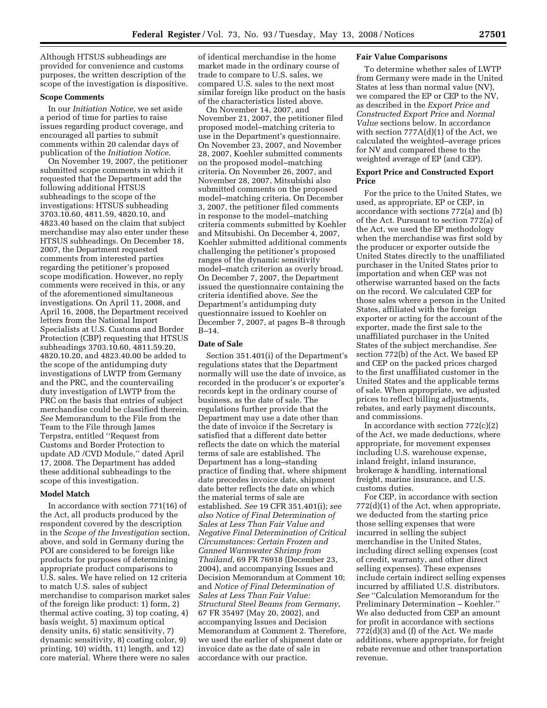Although HTSUS subheadings are provided for convenience and customs purposes, the written description of the scope of the investigation is dispositive.

### **Scope Comments**

In our *Initiation Notice*, we set aside a period of time for parties to raise issues regarding product coverage, and encouraged all parties to submit comments within 20 calendar days of publication of the *Initiation Notice*.

On November 19, 2007, the petitioner submitted scope comments in which it requested that the Department add the following additional HTSUS subheadings to the scope of the investigations: HTSUS subheading 3703.10.60, 4811.59, 4820.10, and 4823.40 based on the claim that subject merchandise may also enter under these HTSUS subheadings. On December 18, 2007, the Department requested comments from interested parties regarding the petitioner's proposed scope modification. However, no reply comments were received in this, or any of the aforementioned simultaneous investigations. On April 11, 2008, and April 16, 2008, the Department received letters from the National Import Specialists at U.S. Customs and Border Protection (CBP) requesting that HTSUS subheadings 3703.10.60, 4811.59.20, 4820.10.20, and 4823.40.00 be added to the scope of the antidumping duty investigations of LWTP from Germany and the PRC, and the countervailing duty investigation of LWTP from the PRC on the basis that entries of subject merchandise could be classified therein. *See* Memorandum to the File from the Team to the File through James Terpstra, entitled ''Request from Customs and Border Protection to update AD /CVD Module,'' dated April 17, 2008. The Department has added these additional subheadings to the scope of this investigation.

### **Model Match**

In accordance with section 771(16) of the Act, all products produced by the respondent covered by the description in the *Scope of the Investigation* section, above, and sold in Germany during the POI are considered to be foreign like products for purposes of determining appropriate product comparisons to U.S. sales. We have relied on 12 criteria to match U.S. sales of subject merchandise to comparison market sales of the foreign like product: 1) form, 2) thermal active coating, 3) top coating, 4) basis weight, 5) maximum optical density units, 6) static sensitivity, 7) dynamic sensitivity, 8) coating color, 9) printing, 10) width, 11) length, and 12) core material. Where there were no sales

of identical merchandise in the home market made in the ordinary course of trade to compare to U.S. sales, we compared U.S. sales to the next most similar foreign like product on the basis of the characteristics listed above.

On November 14, 2007, and November 21, 2007, the petitioner filed proposed model–matching criteria to use in the Department's questionnaire. On November 23, 2007, and November 28, 2007, Koehler submitted comments on the proposed model–matching criteria. On November 26, 2007, and November 28, 2007, Mitsubishi also submitted comments on the proposed model–matching criteria. On December 3, 2007, the petitioner filed comments in response to the model–matching criteria comments submitted by Koehler and Mitsubishi. On December 4, 2007, Koehler submitted additional comments challenging the petitioner's proposed ranges of the dynamic sensitivity model–match criterion as overly broad. On December 7, 2007, the Department issued the questionnaire containing the criteria identified above. *See* the Department's antidumping duty questionnaire issued to Koehler on December 7, 2007, at pages B–8 through B–14.

#### **Date of Sale**

Section 351.401(i) of the Department's regulations states that the Department normally will use the date of invoice, as recorded in the producer's or exporter's records kept in the ordinary course of business, as the date of sale. The regulations further provide that the Department may use a date other than the date of invoice if the Secretary is satisfied that a different date better reflects the date on which the material terms of sale are established. The Department has a long–standing practice of finding that, where shipment date precedes invoice date, shipment date better reflects the date on which the material terms of sale are established. *See* 19 CFR 351.401(i); *see also Notice of Final Determination of Sales at Less Than Fair Value and Negative Final Determination of Critical Circumstances: Certain Frozen and Canned Warmwater Shrimp from Thailand*, 69 FR 76918 (December 23, 2004), and accompanying Issues and Decision Memorandum at Comment 10; and *Notice of Final Determination of Sales at Less Than Fair Value: Structural Steel Beams from Germany*, 67 FR 35497 (May 20, 2002), and accompanying Issues and Decision Memorandum at Comment 2. Therefore, we used the earlier of shipment date or invoice date as the date of sale in accordance with our practice.

#### **Fair Value Comparisons**

To determine whether sales of LWTP from Germany were made in the United States at less than normal value (NV), we compared the EP or CEP to the NV, as described in the *Export Price and Constructed Export Price* and *Normal Value* sections below. In accordance with section 777A(d)(1) of the Act, we calculated the weighted–average prices for NV and compared these to the weighted average of EP (and CEP).

## **Export Price and Constructed Export Price**

For the price to the United States, we used, as appropriate, EP or CEP, in accordance with sections 772(a) and (b) of the Act. Pursuant to section 772(a) of the Act, we used the EP methodology when the merchandise was first sold by the producer or exporter outside the United States directly to the unaffiliated purchaser in the United States prior to importation and when CEP was not otherwise warranted based on the facts on the record. We calculated CEP for those sales where a person in the United States, affiliated with the foreign exporter or acting for the account of the exporter, made the first sale to the unaffiliated purchaser in the United States of the subject merchandise. *See*  section 772(b) of the Act. We based EP and CEP on the packed prices charged to the first unaffiliated customer in the United States and the applicable terms of sale. When appropriate, we adjusted prices to reflect billing adjustments, rebates, and early payment discounts, and commissions.

In accordance with section  $772(c)(2)$ of the Act, we made deductions, where appropriate, for movement expenses including U.S. warehouse expense, inland freight, inland insurance, brokerage & handling, international freight, marine insurance, and U.S. customs duties.

For CEP, in accordance with section 772(d)(1) of the Act, when appropriate, we deducted from the starting price those selling expenses that were incurred in selling the subject merchandise in the United States, including direct selling expenses (cost of credit, warranty, and other direct selling expenses). These expenses include certain indirect selling expenses incurred by affiliated U.S. distributors. *See* ''Calculation Memorandum for the Preliminary Determination – Koehler.'' We also deducted from CEP an amount for profit in accordance with sections 772(d)(3) and (f) of the Act. We made additions, where appropriate, for freight rebate revenue and other transportation revenue.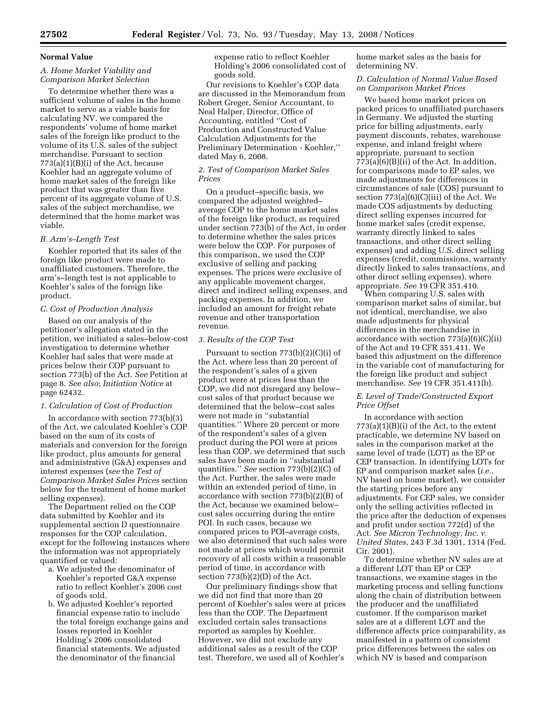#### **Normal Value**

# *A. Home Market Viability and Comparison Market Selection*

To determine whether there was a sufficient volume of sales in the home market to serve as a viable basis for calculating NV, we compared the respondents' volume of home market sales of the foreign like product to the volume of its U.S. sales of the subject merchandise. Pursuant to section  $773(a)(1)(B)(i)$  of the Act, because Koehler had an aggregate volume of home market sales of the foreign like product that was greater than five percent of its aggregate volume of U.S. sales of the subject merchandise, we determined that the home market was viable.

### *B. Arm's–Length Test*

Koehler reported that its sales of the foreign like product were made to unaffiliated customers. Therefore, the arm's–length test is not applicable to Koehler's sales of the foreign like product.

#### *C. Cost of Production Analysis*

Based on our analysis of the petitioner's allegation stated in the petition, we initiated a sales–below-cost investigation to determine whether Koehler had sales that were made at prices below their COP pursuant to section 773(b) of the Act. *See* Petition at page 8. *See also*; *Initiation Notice* at page 62432.

### *1. Calculation of Cost of Production*

In accordance with section 773(b)(3) of the Act, we calculated Koehler's COP based on the sum of its costs of materials and conversion for the foreign like product, plus amounts for general and administrative (G&A) expenses and interest expenses (*see* the *Test of Comparison Market Sales Prices* section below for the treatment of home market selling expenses).

The Department relied on the COP data submitted by Koehler and its supplemental section D questionnaire responses for the COP calculation, except for the following instances where the information was not appropriately quantified or valued:

- a. We adjusted the denominator of Koehler's reported G&A expense ratio to reflect Koehler's 2006 cost of goods sold.
- b. We adjusted Koehler's reported financial expense ratio to include the total foreign exchange gains and losses reported in Koehler Holding's 2006 consolidated financial statements. We adjusted the denominator of the financial

expense ratio to reflect Koehler Holding's 2006 consolidated cost of goods sold.

Our revisions to Koehler's COP data are discussed in the Memorandum from Robert Greger, Senior Accountant, to Neal Halper, Director, Office of Accounting, entitled ''Cost of Production and Constructed Value Calculation Adjustments for the Preliminary Determination - Koehler,'' dated May 6, 2008.

## *2. Test of Comparison Market Sales Prices*

On a product–specific basis, we compared the adjusted weighted– average COP to the home market sales of the foreign like product, as required under section 773(b) of the Act, in order to determine whether the sales prices were below the COP. For purposes of this comparison, we used the COP exclusive of selling and packing expenses. The prices were exclusive of any applicable movement charges, direct and indirect selling expenses, and packing expenses. In addition, we included an amount for freight rebate revenue and other transportation revenue.

#### *3. Results of the COP Test*

Pursuant to section  $773(b)(2)(C)(i)$  of the Act, where less than 20 percent of the respondent's sales of a given product were at prices less than the COP, we did not disregard any below– cost sales of that product because we determined that the below–cost sales were not made in ''substantial quantities.'' Where 20 percent or more of the respondent's sales of a given product during the POI were at prices less than COP, we determined that such sales have been made in ''substantial quantities.'' *See* section 773(b)(2)(C) of the Act. Further, the sales were made within an extended period of time, in accordance with section 773(b)(2)(B) of the Act, because we examined below– cost sales occurring during the entire POI. In such cases, because we compared prices to POI–average costs, we also determined that such sales were not made at prices which would permit recovery of all costs within a reasonable period of time, in accordance with section 773(b)(2)(D) of the Act.

Our preliminary findings show that we did not find that more than 20 percent of Koehler's sales were at prices less than the COP. The Department excluded certain sales transactions reported as samples by Koehler. However, we did not exclude any additional sales as a result of the COP test. Therefore, we used all of Koehler's

home market sales as the basis for determining NV.

### *D. Calculation of Normal Value Based on Comparison Market Prices*

We based home market prices on packed prices to unaffiliated purchasers in Germany. We adjusted the starting price for billing adjustments, early payment discounts, rebates, warehouse expense, and inland freight where appropriate, pursuant to section  $773(a)(6)(B)(ii)$  of the Act. In addition, for comparisons made to EP sales, we made adjustments for differences in circumstances of sale (COS) pursuant to section 773(a)(6)(C)(iii) of the Act. We made COS adjustments by deducting direct selling expenses incurred for home market sales (credit expense, warranty directly linked to sales transactions, and other direct selling expenses) and adding U.S. direct selling expenses (credit, commissions, warranty directly linked to sales transactions, and other direct selling expenses), where appropriate. *See* 19 CFR 351.410.

When comparing U.S. sales with comparison market sales of similar, but not identical, merchandise, we also made adjustments for physical differences in the merchandise in accordance with section  $773(a)(6)(C)(ii)$ of the Act and 19 CFR 351.411. We based this adjustment on the difference in the variable cost of manufacturing for the foreign like product and subject merchandise. *See* 19 CFR 351.411(b).

## *E. Level of Trade/Constructed Export Price Offset*

In accordance with section  $773(a)(1)(B)(i)$  of the Act, to the extent practicable, we determine NV based on sales in the comparison market at the same level of trade (LOT) as the EP or CEP transaction. In identifying LOTs for EP and comparison market sales (*i.e.*, NV based on home market), we consider the starting prices before any adjustments. For CEP sales, we consider only the selling activities reflected in the price after the deduction of expenses and profit under section 772(d) of the Act. *See Micron Technology, Inc. v. United States*, 243 F.3d 1301, 1314 (Fed. Cir. 2001).

To determine whether NV sales are at a different LOT than EP or CEP transactions, we examine stages in the marketing process and selling functions along the chain of distribution between the producer and the unaffiliated customer. If the comparison market sales are at a different LOT and the difference affects price comparability, as manifested in a pattern of consistent price differences between the sales on which NV is based and comparison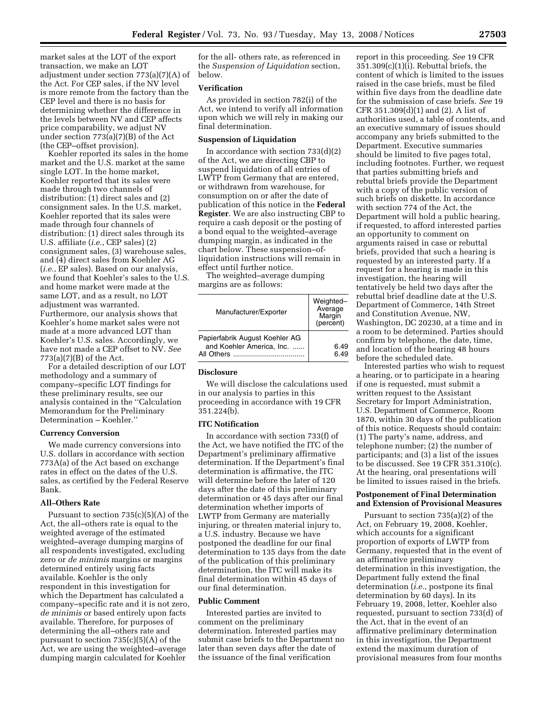market sales at the LOT of the export transaction, we make an LOT adjustment under section 773(a)(7)(A) of the Act. For CEP sales, if the NV level is more remote from the factory than the CEP level and there is no basis for determining whether the difference in the levels between NV and CEP affects price comparability, we adjust NV under section 773(a)(7)(B) of the Act (the CEP–offset provision).

Koehler reported its sales in the home market and the U.S. market at the same single LOT. In the home market, Koehler reported that its sales were made through two channels of distribution: (1) direct sales and (2) consignment sales. In the U.S. market, Koehler reported that its sales were made through four channels of distribution: (1) direct sales through its U.S. affiliate (*i.e.*, CEP sales) (2) consignment sales, (3) warehouse sales, and (4) direct sales from Koehler AG (*i.e.*, EP sales). Based on our analysis, we found that Koehler's sales to the U.S. and home market were made at the same LOT, and as a result, no LOT adjustment was warranted. Furthermore, our analysis shows that Koehler's home market sales were not made at a more advanced LOT than Koehler's U.S. sales. Accordingly, we have not made a CEP offset to NV. *See*   $773(a)(7)(B)$  of the Act.

For a detailed description of our LOT methodology and a summary of company–specific LOT findings for these preliminary results, see our analysis contained in the ''Calculation Memorandum for the Preliminary Determination – Koehler.''

#### **Currency Conversion**

We made currency conversions into U.S. dollars in accordance with section 773A(a) of the Act based on exchange rates in effect on the dates of the U.S. sales, as certified by the Federal Reserve Bank.

#### **All–Others Rate**

Pursuant to section 735(c)(5)(A) of the Act, the all–others rate is equal to the weighted average of the estimated weighted–average dumping margins of all respondents investigated, excluding zero or *de minimis* margins or margins determined entirely using facts available. Koehler is the only respondent in this investigation for which the Department has calculated a company–specific rate and it is not zero, *de minimis* or based entirely upon facts available. Therefore, for purposes of determining the all–others rate and pursuant to section 735(c)(5)(A) of the Act, we are using the weighted–average dumping margin calculated for Koehler

for the all- others rate, as referenced in the *Suspension of Liquidation* section, below.

## **Verification**

As provided in section 782(i) of the Act, we intend to verify all information upon which we will rely in making our final determination.

### **Suspension of Liquidation**

In accordance with section  $733(d)(2)$ of the Act, we are directing CBP to suspend liquidation of all entries of LWTP from Germany that are entered, or withdrawn from warehouse, for consumption on or after the date of publication of this notice in the **Federal Register**. We are also instructing CBP to require a cash deposit or the posting of a bond equal to the weighted–average dumping margin, as indicated in the chart below. These suspension–ofliquidation instructions will remain in effect until further notice.

The weighted–average dumping margins are as follows:

| Manufacturer/Exporter                                                     | Weighted-<br>Average<br>Margin<br>(percent) |
|---------------------------------------------------------------------------|---------------------------------------------|
| Papierfabrik August Koehler AG<br>and Koehler America, Inc.<br>All Others | 6.49<br>6 49                                |

#### **Disclosure**

We will disclose the calculations used in our analysis to parties in this proceeding in accordance with 19 CFR 351.224(b).

#### **ITC Notification**

In accordance with section 733(f) of the Act, we have notified the ITC of the Department's preliminary affirmative determination. If the Department's final determination is affirmative, the ITC will determine before the later of 120 days after the date of this preliminary determination or 45 days after our final determination whether imports of LWTP from Germany are materially injuring, or threaten material injury to, a U.S. industry. Because we have postponed the deadline for our final determination to 135 days from the date of the publication of this preliminary determination, the ITC will make its final determination within 45 days of our final determination.

#### **Public Comment**

Interested parties are invited to comment on the preliminary determination. Interested parties may submit case briefs to the Department no later than seven days after the date of the issuance of the final verification

report in this proceeding. *See* 19 CFR 351.309(c)(1)(i). Rebuttal briefs, the content of which is limited to the issues raised in the case briefs, must be filed within five days from the deadline date for the submission of case briefs. *See* 19 CFR 351.309(d)(1) and (2). A list of authorities used, a table of contents, and an executive summary of issues should accompany any briefs submitted to the Department. Executive summaries should be limited to five pages total, including footnotes. Further, we request that parties submitting briefs and rebuttal briefs provide the Department with a copy of the public version of such briefs on diskette. In accordance with section 774 of the Act, the Department will hold a public hearing, if requested, to afford interested parties an opportunity to comment on arguments raised in case or rebuttal briefs, provided that such a hearing is requested by an interested party. If a request for a hearing is made in this investigation, the hearing will tentatively be held two days after the rebuttal brief deadline date at the U.S. Department of Commerce, 14th Street and Constitution Avenue, NW, Washington, DC 20230, at a time and in a room to be determined. Parties should confirm by telephone, the date, time, and location of the hearing 48 hours before the scheduled date.

Interested parties who wish to request a hearing, or to participate in a hearing if one is requested, must submit a written request to the Assistant Secretary for Import Administration, U.S. Department of Commerce, Room 1870, within 30 days of the publication of this notice. Requests should contain: (1) The party's name, address, and telephone number; (2) the number of participants; and (3) a list of the issues to be discussed. See 19 CFR 351.310(c). At the hearing, oral presentations will be limited to issues raised in the briefs.

## **Postponement of Final Determination and Extension of Provisional Measures**

Pursuant to section 735(a)(2) of the Act, on February 19, 2008, Koehler, which accounts for a significant proportion of exports of LWTP from Germany, requested that in the event of an affirmative preliminary determination in this investigation, the Department fully extend the final determination (*i.e.*, postpone its final determination by 60 days). In its February 19, 2008, letter, Koehler also requested, pursuant to section 733(d) of the Act, that in the event of an affirmative preliminary determination in this investigation, the Department extend the maximum duration of provisional measures from four months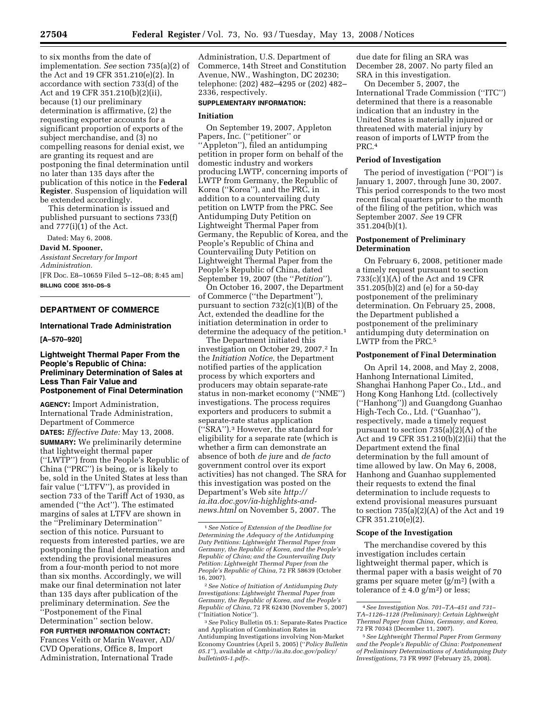to six months from the date of implementation. *See* section 735(a)(2) of the Act and 19 CFR 351.210(e)(2). In accordance with section 733(d) of the Act and 19 CFR 351.210(b)(2)(ii), because (1) our preliminary determination is affirmative, (2) the requesting exporter accounts for a significant proportion of exports of the subject merchandise, and (3) no compelling reasons for denial exist, we are granting its request and are postponing the final determination until no later than 135 days after the publication of this notice in the **Federal Register**. Suspension of liquidation will be extended accordingly.

This determination is issued and published pursuant to sections 733(f) and 777(i)(1) of the Act.

Dated: May 6, 2008. **David M. Spooner,**  *Assistant Secretary for Import Administration.*  [FR Doc. E8–10659 Filed 5–12–08; 8:45 am] **BILLING CODE 3510–DS–S** 

# **DEPARTMENT OF COMMERCE**

## **International Trade Administration**

## **[A–570–920]**

## **Lightweight Thermal Paper From the People's Republic of China: Preliminary Determination of Sales at Less Than Fair Value and Postponement of Final Determination**

**AGENCY:** Import Administration, International Trade Administration, Department of Commerce

**DATES:** *Effective Date:* May 13, 2008. **SUMMARY:** We preliminarily determine that lightweight thermal paper (''LWTP'') from the People's Republic of China (''PRC'') is being, or is likely to be, sold in the United States at less than fair value (''LTFV''), as provided in section 733 of the Tariff Act of 1930, as amended (''the Act''). The estimated margins of sales at LTFV are shown in the ''Preliminary Determination'' section of this notice. Pursuant to requests from interested parties, we are postponing the final determination and extending the provisional measures from a four-month period to not more than six months. Accordingly, we will make our final determination not later than 135 days after publication of the preliminary determination. *See* the ''Postponement of the Final Determination'' section below.

**FOR FURTHER INFORMATION CONTACT:** 

Frances Veith or Marin Weaver, AD/ CVD Operations, Office 8, Import Administration, International Trade

Administration, U.S. Department of Commerce, 14th Street and Constitution Avenue, NW., Washington, DC 20230; telephone: (202) 482–4295 or (202) 482– 2336, respectively.

# **SUPPLEMENTARY INFORMATION:**

# **Initiation**

On September 19, 2007, Appleton Papers, Inc. (''petitioner'' or ''Appleton''), filed an antidumping petition in proper form on behalf of the domestic industry and workers producing LWTP, concerning imports of LWTP from Germany, the Republic of Korea (''Korea''), and the PRC, in addition to a countervailing duty petition on LWTP from the PRC. See Antidumping Duty Petition on Lightweight Thermal Paper from Germany, the Republic of Korea, and the People's Republic of China and Countervailing Duty Petition on Lightweight Thermal Paper from the People's Republic of China, dated September 19, 2007 (the ''*Petition*'').

On October 16, 2007, the Department of Commerce (''the Department''), pursuant to section 732(c)(1)(B) of the Act, extended the deadline for the initiation determination in order to determine the adequacy of the petition.1

The Department initiated this investigation on October 29, 2007.2 In the *Initiation Notice,* the Department notified parties of the application process by which exporters and producers may obtain separate-rate status in non-market economy (''NME'') investigations. The process requires exporters and producers to submit a separate-rate status application (''SRA'').3 However, the standard for eligibility for a separate rate (which is whether a firm can demonstrate an absence of both *de jure* and *de facto*  government control over its export activities) has not changed. The SRA for this investigation was posted on the Department's Web site *http:// ia.ita.doc.gov/ia-highlights-andnews.html* on November 5, 2007. The

due date for filing an SRA was December 28, 2007. No party filed an SRA in this investigation.

On December 5, 2007, the International Trade Commission (''ITC'') determined that there is a reasonable indication that an industry in the United States is materially injured or threatened with material injury by reason of imports of LWTP from the PRC.4

#### **Period of Investigation**

The period of investigation (''POI'') is January 1, 2007, through June 30, 2007. This period corresponds to the two most recent fiscal quarters prior to the month of the filing of the petition, which was September 2007. *See* 19 CFR 351.204(b)(1).

## **Postponement of Preliminary Determination**

On February 6, 2008, petitioner made a timely request pursuant to section  $733(c)(1)(A)$  of the Act and 19 CFR 351.205(b)(2) and (e) for a 50-day postponement of the preliminary determination. On February 25, 2008, the Department published a postponement of the preliminary antidumping duty determination on LWTP from the PRC.<sup>5</sup>

## **Postponement of Final Determination**

On April 14, 2008, and May 2, 2008, Hanhong International Limited, Shanghai Hanhong Paper Co., Ltd., and Hong Kong Hanhong Ltd. (collectively (''Hanhong'')) and Guangdong Guanhao High-Tech Co., Ltd. (''Guanhao''), respectively, made a timely request pursuant to section 735(a)(2)(A) of the Act and 19 CFR 351.210(b)(2)(ii) that the Department extend the final determination by the full amount of time allowed by law. On May 6, 2008, Hanhong and Guanhao supplemented their requests to extend the final determination to include requests to extend provisional measures pursuant to section 735(a)(2)(A) of the Act and 19 CFR 351.210(e)(2).

#### **Scope of the Investigation**

The merchandise covered by this investigation includes certain lightweight thermal paper, which is thermal paper with a basis weight of 70 grams per square meter  $(g/m^2)$  (with a tolerance of  $\pm$  4.0 g/m<sup>2</sup>) or less;

<sup>1</sup>*See Notice of Extension of the Deadline for Determining the Adequacy of the Antidumping Duty Petitions: Lightweight Thermal Paper from Germany, the Republic of Korea, and the People's Republic of China; and the Countervailing Duty Petition: Lightweight Thermal Paper from the People's Republic of China,* 72 FR 58639 (October 16, 2007).

<sup>2</sup>*See Notice of Initiation of Antidumping Duty Investigations: Lightweight Thermal Paper from Germany, the Republic of Korea, and the People's Republic of China,* 72 FR 62430 (November 5, 2007) (''Initiation Notice'').

<sup>3</sup>*See* Policy Bulletin 05.1: Separate-Rates Practice and Application of Combination Rates in Antidumping Investigations involving Non-Market Economy Countries (April 5, 2005) (''*Policy Bulletin 05.1*''), available at <*http://ia.ita.doc.gov/policy/ bulletin05-1.pdf>*.

<sup>4</sup>*See Investigation Nos. 701–TA–451 and 731– TA–1126–1128 (Preliminary): Certain Lightweight Thermal Paper from China, Germany, and Korea,*  72 FR 70343 (December 11, 2007).

<sup>5</sup>*See Lightweight Thermal Paper From Germany and the People's Republic of China: Postponement of Preliminary Determinations of Antidumping Duty Investigations,* 73 FR 9997 (February 25, 2008).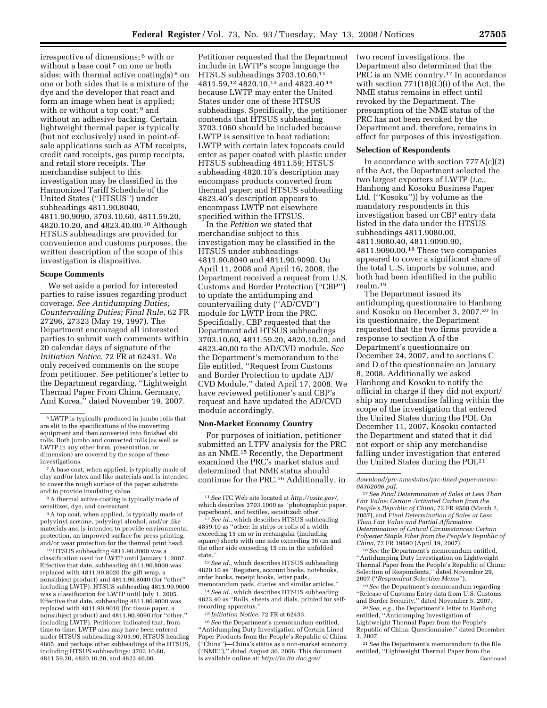irrespective of dimensions; 6 with or without a base coat <sup>7</sup> on one or both sides; with thermal active coating(s)<sup>8</sup> on one or both sides that is a mixture of the dye and the developer that react and form an image when heat is applied; with or without a top coat; <sup>9</sup> and without an adhesive backing. Certain lightweight thermal paper is typically (but not exclusively) used in point-ofsale applications such as ATM receipts, credit card receipts, gas pump receipts, and retail store receipts. The merchandise subject to this investigation may be classified in the Harmonized Tariff Schedule of the United States (''HTSUS'') under subheadings 4811.90.8040, 4811.90.9090, 3703.10.60, 4811.59.20, 4820.10.20, and 4823.40.00.10 Although HTSUS subheadings are provided for convenience and customs purposes, the written description of the scope of this investigation is dispositive.

#### **Scope Comments**

We set aside a period for interested parties to raise issues regarding product coverage. *See Antidumping Duties; Countervailing Duties; Final Rule*, 62 FR 27296, 27323 (May 19, 1997). The Department encouraged all interested parties to submit such comments within 20 calendar days of signature of the *Initiation Notice*, 72 FR at 62431. We only received comments on the scope from petitioner. *See* petitioner's letter to the Department regarding, ''Lightweight Thermal Paper From China, Germany, And Korea," dated November 19, 2007.

7A base coat, when applied, is typically made of clay and/or latex and like materials and is intended to cover the rough surface of the paper substrate and to provide insulating value.

8A thermal active coating is typically made of sensitizer, dye, and co-reactant.

<sup>9</sup>A top coat, when applied, is typically made of polyvinyl acetone, polyvinyl alcohol, and/or like materials and is intended to provide environmental protection, an improved surface for press printing, and/or wear protection for the thermal print head.

10HTSUS subheading 4811.90.8000 was a classification used for LWTP until January 1, 2007. Effective that date, subheading 4811.90.8000 was replaced with 4811.90.8020 (for gift wrap, a nonsubject product) and 4811.90.8040 (for ''other'' including LWTP). HTSUS subheading 4811.90.9000 was a classification for LWTP until July 1, 2005. Effective that date, subheading 4811.90.9000 was replaced with 4811.90.9010 (for tissue paper, a nonsubject product) and 4811.90.9090 (for ''other,'' including LWTP). Petitioner indicated that, from time to time, LWTP also may have been entered under HTSUS subheading 3703.90, HTSUS heading 4805, and perhaps other subheadings of the HTSUS, including HTSUS subheadings: 3703.10.60, 4811.59.20, 4820.10.20, and 4823.40.00.

Petitioner requested that the Department include in LWTP's scope language the HTSUS subheadings 3703.10.60,11 4811.59,12 4820.10,13 and 4823.40 14 because LWTP may enter the United States under one of these HTSUS subheadings. Specifically, the petitioner contends that HTSUS subheading 3703.1060 should be included because LWTP is sensitive to heat radiation; LWTP with certain latex topcoats could enter as paper coated with plastic under HTSUS subheading 4811.59; HTSUS subheading 4820.10's description may encompass products converted from thermal paper; and HTSUS subheading 4823.40's description appears to encompass LWTP not elsewhere specified within the HTSUS.

In the *Petition* we stated that merchandise subject to this investigation may be classified in the HTSUS under subheadings 4811.90.8040 and 4811.90.9090. On April 11, 2008 and April 16, 2008, the Department received a request from U.S. Customs and Border Protection (''CBP'') to update the antidumping and countervailing duty (''AD/CVD'') module for LWTP from the PRC. Specifically, CBP requested that the Department add HTSUS subheadings 3703.10.60, 4811.59.20, 4820.10.20, and 4823.40.00 to the AD/CVD module. *See*  the Department's memorandum to the file entitled, ''Request from Customs and Border Protection to update AD/ CVD Module,'' dated April 17, 2008. We have reviewed petitioner's and CBP's request and have updated the AD/CVD module accordingly.

#### **Non-Market Economy Country**

For purposes of initiation, petitioner submitted an LTFV analysis for the PRC as an NME.15 Recently, the Department examined the PRC's market status and determined that NME status should continue for the PRC.16 Additionally, in

13*See id.*, which describes HTSUS subheading 4820.10 as ''Registers, account books, notebooks, order books, receipt books, letter pads, memorandum pads, diaries and similar articles.''

14*See id.*, which describes HTSUS subheading 4823.40 as ''Rolls, sheets and dials, printed for selfrecording apparatus.''

15 *Initiation Notice*, 72 FR at 62433.

16*See* the Department's memorandum entitled, ''Antidumping Duty Investigation of Certain Lined Paper Products from the People's Republic of China (''China'')—China's status as a non-market economy (''NME''),'' dated August 30, 2006. This document is available online at: *http://ia.ita.doc.gov/* 

two recent investigations, the Department also determined that the PRC is an NME country.17 In accordance with section 771(18)(C)(i) of the Act, the NME status remains in effect until revoked by the Department. The presumption of the NME status of the PRC has not been revoked by the Department and, therefore, remains in effect for purposes of this investigation.

#### **Selection of Respondents**

In accordance with section  $777A(c)(2)$ of the Act, the Department selected the two largest exporters of LWTP (*i.e.*, Hanhong and Kosoku Business Paper Ltd. (''Kosoku'')) by volume as the mandatory respondents in this investigation based on CBP entry data listed in the data under the HTSUS subheadings 4811.9080.00, 4811.9080.40, 4811.9090.90, 4811.9090.00.18 These two companies appeared to cover a significant share of the total U.S. imports by volume, and both had been identified in the public realm.19

The Department issued its antidumping questionnaire to Hanhong and Kosoku on December 3, 2007.20 In its questionnaire, the Department requested that the two firms provide a response to section A of the Department's questionnaire on December 24, 2007, and to sections C and D of the questionnaire on January 8, 2008. Additionally we asked Hanhong and Kosoku to notify the official in charge if they did not export/ ship any merchandise falling within the scope of the investigation that entered the United States during the POI. On December 11, 2007, Kosoku contacted the Department and stated that it did not export or ship any merchandise falling under investigation that entered the United States during the POI.21

<sup>18</sup> See the Department's memorandum entitled, ''Antidumping Duty Investigation on Lightweight Thermal Paper from the People's Republic of China: Selection of Respondents,'' dated November 29,

2007 (''*Respondent Selection Memo*''). 19*See* the Department's memorandum regarding ''Release of Customs Entry data from U.S. Customs

<sup>20</sup> See, e.g., the Department's letter to Hanhong entitled, ''Antidumping Investigation of Lightweight Thermal Paper from the People's Republic of China: Questionnaire,'' dated December

<sup>21</sup> See the Department's memorandum to the file entitled, ''Lightweight Thermal Paper from the Continued

<sup>6</sup>LWTP is typically produced in jumbo rolls that are slit to the specifications of the converting equipment and then converted into finished slit rolls. Both jumbo and converted rolls (as well as LWTP in any other form, presentation, or dimension) are covered by the scope of these investigations.

<sup>11</sup>*See* ITC Web site located at *http://usitc.gov/,*  which describes 3703.1060 as ''photographic paper, paperboard, and textiles, sensitized: other.''

<sup>12</sup>*See id.*, which describes HTSUS subheading 4859.10 as ''other: In strips or rolls of a width exceeding 15 cm or in rectangular (including square) sheets with one side exceeding 36 cm and the other side exceeding 15 cm in the unfolded state.''

*download/prc-nmestatus/prc-lined-paper-memo-*

<sup>&</sup>lt;sup>17</sup> See Final Determination of Sales at Less Than *Fair Value: Certain Activated Carbon from the People's Republic of China*, 72 FR 9508 (March 2, 2007), and *Final Determination of Sales at Less Than Fair Value and Partial Affirmative Determination of Critical Circumstances: Certain Polyester Staple Fiber from the People's Republic of*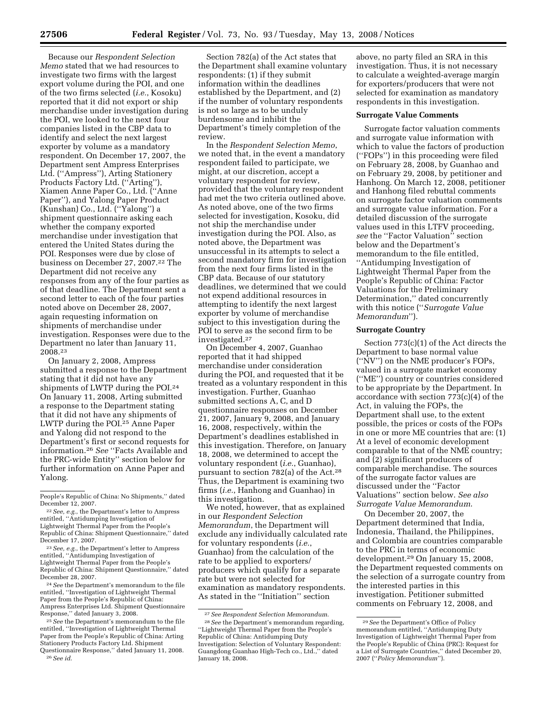Because our *Respondent Selection Memo* stated that we had resources to investigate two firms with the largest export volume during the POI, and one of the two firms selected (*i.e.*, Kosoku) reported that it did not export or ship merchandise under investigation during the POI, we looked to the next four companies listed in the CBP data to identify and select the next largest exporter by volume as a mandatory respondent. On December 17, 2007, the Department sent Ampress Enterprises Ltd. (''Ampress''), Arting Stationery Products Factory Ltd. (''Arting''), Xiamen Anne Paper Co., Ltd. (''Anne Paper''), and Yalong Paper Product (Kunshan) Co., Ltd. (''Yalong'') a shipment questionnaire asking each whether the company exported merchandise under investigation that entered the United States during the POI. Responses were due by close of business on December 27, 2007.22 The Department did not receive any responses from any of the four parties as of that deadline. The Department sent a second letter to each of the four parties noted above on December 28, 2007, again requesting information on shipments of merchandise under investigation. Responses were due to the Department no later than January 11, 2008.23

On January 2, 2008, Ampress submitted a response to the Department stating that it did not have any shipments of LWTP during the POI.24 On January 11, 2008, Arting submitted a response to the Department stating that it did not have any shipments of LWTP during the POI.25 Anne Paper and Yalong did not respond to the Department's first or second requests for information.26 *See* ''Facts Available and the PRC-wide Entity'' section below for further information on Anne Paper and Yalong.

24*See* the Department's memorandum to the file entitled, ''Investigation of Lightweight Thermal Paper from the People's Republic of China: Ampress Enterprises Ltd. Shipment Questionnaire Response,'' dated January 3, 2008.

Section 782(a) of the Act states that the Department shall examine voluntary respondents: (1) if they submit information within the deadlines established by the Department, and (2) if the number of voluntary respondents is not so large as to be unduly burdensome and inhibit the Department's timely completion of the review.

In the *Respondent Selection Memo*, we noted that, in the event a mandatory respondent failed to participate, we might, at our discretion, accept a voluntary respondent for review, provided that the voluntary respondent had met the two criteria outlined above. As noted above, one of the two firms selected for investigation, Kosoku, did not ship the merchandise under investigation during the POI. Also, as noted above, the Department was unsuccessful in its attempts to select a second mandatory firm for investigation from the next four firms listed in the CBP data. Because of our statutory deadlines, we determined that we could not expend additional resources in attempting to identify the next largest exporter by volume of merchandise subject to this investigation during the POI to serve as the second firm to be investigated.27

On December 4, 2007, Guanhao reported that it had shipped merchandise under consideration during the POI, and requested that it be treated as a voluntary respondent in this investigation. Further, Guanhao submitted sections A, C, and D questionnaire responses on December 21, 2007, January 9, 2008, and January 16, 2008, respectively, within the Department's deadlines established in this investigation. Therefore, on January 18, 2008, we determined to accept the voluntary respondent (*i.e.*, Guanhao), pursuant to section 782(a) of the Act.28 Thus, the Department is examining two firms (*i.e.*, Hanhong and Guanhao) in this investigation.

We noted, however, that as explained in our *Respondent Selection Memorandum*, the Department will exclude any individually calculated rate for voluntary respondents (*i.e.*, Guanhao) from the calculation of the rate to be applied to exporters/ producers which qualify for a separate rate but were not selected for examination as mandatory respondents. As stated in the ''Initiation'' section

above, no party filed an SRA in this investigation. Thus, it is not necessary to calculate a weighted-average margin for exporters/producers that were not selected for examination as mandatory respondents in this investigation.

#### **Surrogate Value Comments**

Surrogate factor valuation comments and surrogate value information with which to value the factors of production (''FOPs'') in this proceeding were filed on February 28, 2008, by Guanhao and on February 29, 2008, by petitioner and Hanhong. On March 12, 2008, petitioner and Hanhong filed rebuttal comments on surrogate factor valuation comments and surrogate value information. For a detailed discussion of the surrogate values used in this LTFV proceeding, *see* the ''Factor Valuation'' section below and the Department's memorandum to the file entitled, ''Antidumping Investigation of Lightweight Thermal Paper from the People's Republic of China: Factor Valuations for the Preliminary Determination,'' dated concurrently with this notice (''*Surrogate Value Memorandum*'').

#### **Surrogate Country**

Section 773(c)(1) of the Act directs the Department to base normal value (''NV'') on the NME producer's FOPs, valued in a surrogate market economy (''ME'') country or countries considered to be appropriate by the Department. In accordance with section 773(c)(4) of the Act, in valuing the FOPs, the Department shall use, to the extent possible, the prices or costs of the FOPs in one or more ME countries that are: (1) At a level of economic development comparable to that of the NME country; and (2) significant producers of comparable merchandise. The sources of the surrogate factor values are discussed under the ''Factor Valuations'' section below. *See also Surrogate Value Memorandum*.

On December 20, 2007, the Department determined that India, Indonesia, Thailand, the Philippines, and Colombia are countries comparable to the PRC in terms of economic development.29 On January 15, 2008, the Department requested comments on the selection of a surrogate country from the interested parties in this investigation. Petitioner submitted comments on February 12, 2008, and

People's Republic of China: No Shipments,'' dated December 12, 2007.

<sup>22</sup>*See, e.g.*, the Department's letter to Ampress entitled, ''Antidumping Investigation of Lightweight Thermal Paper from the People's Republic of China: Shipment Questionnaire,'' dated December 17, 2007.

<sup>23</sup>*See, e.g.*, the Department's letter to Ampress entitled, ''Antidumping Investigation of Lightweight Thermal Paper from the People's Republic of China: Shipment Questionnaire,'' dated December 28, 2007.

<sup>25</sup>*See* the Department's memorandum to the file entitled, ''Investigation of Lightweight Thermal Paper from the People's Republic of China: Arting Stationery Products Factory Ltd. Shipment Questionnaire Response,'' dated January 11, 2008. 26*See id*.

<sup>27</sup>*See Respondent Selection Memorandum*.

<sup>28</sup>*See* the Department's memorandum regarding, ''Lightweight Thermal Paper from the People's Republic of China: Antidumping Duty Investigation: Selection of Voluntary Respondent: Guangdong Guanhao High-Tech co., Ltd.,'' dated January 18, 2008.

<sup>29</sup>*See* the Department's Office of Policy memorandum entitled, ''Antidumping Duty Investigation of Lightweight Thermal Paper from the People's Republic of China (PRC): Request for a List of Surrogate Countries,'' dated December 20, 2007 (''*Policy Memorandum*'').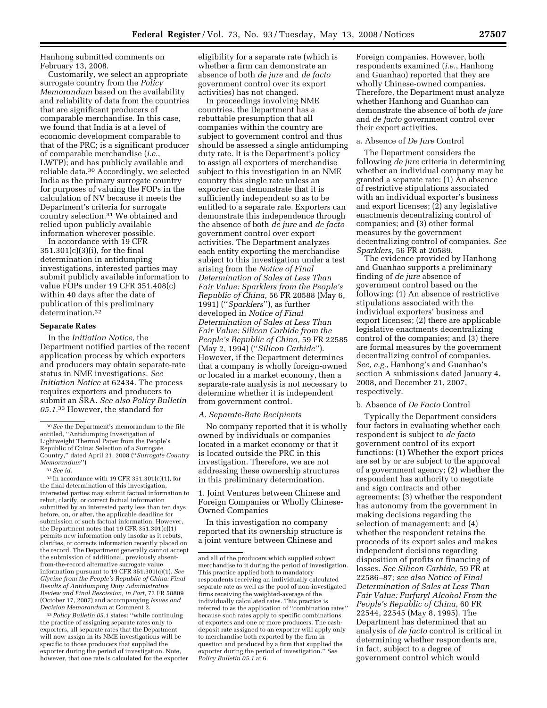Hanhong submitted comments on February 13, 2008.

Customarily, we select an appropriate surrogate country from the *Policy Memorandum* based on the availability and reliability of data from the countries that are significant producers of comparable merchandise. In this case, we found that India is at a level of economic development comparable to that of the PRC; is a significant producer of comparable merchandise (*i.e.*, LWTP); and has publicly available and reliable data.30 Accordingly, we selected India as the primary surrogate country for purposes of valuing the FOPs in the calculation of NV because it meets the Department's criteria for surrogate country selection.31 We obtained and relied upon publicly available information wherever possible.

In accordance with 19 CFR 351.301(c)(3)(i), for the final determination in antidumping investigations, interested parties may submit publicly available information to value FOPs under 19 CFR 351.408(c) within 40 days after the date of publication of this preliminary determination.32

## **Separate Rates**

In the *Initiation Notice,* the Department notified parties of the recent application process by which exporters and producers may obtain separate-rate status in NME investigations. *See Initiation Notice* at 62434. The process requires exporters and producers to submit an SRA. *See also Policy Bulletin 05.1.*33 However, the standard for

 $32$  In accordance with 19 CFR  $351.301(c)(1)$ , for the final determination of this investigation, interested parties may submit factual information to rebut, clarify, or correct factual information submitted by an interested party less than ten days before, on, or after, the applicable deadline for submission of such factual information. However, the Department notes that 19 CFR 351.301(c)(1) permits new information only insofar as it rebuts, clarifies, or corrects information recently placed on the record. The Department generally cannot accept the submission of additional, previously absentfrom-the-record alternative surrogate value information pursuant to 19 CFR 351.301(c)(1). *See Glycine from the People's Republic of China: Final Results of Antidumping Duty Administrative Review and Final Rescission, in Part,* 72 FR 58809 (October 17, 2007) and accompanying *Issues and Decision Memorandum* at Comment 2.

33*Policy Bulletin 05.1* states: ''while continuing the practice of assigning separate rates only to exporters, all separate rates that the Department will now assign in its NME investigations will be specific to those producers that supplied the exporter during the period of investigation. Note, however, that one rate is calculated for the exporter

eligibility for a separate rate (which is whether a firm can demonstrate an absence of both *de jure* and *de facto*  government control over its export activities) has not changed.

In proceedings involving NME countries, the Department has a rebuttable presumption that all companies within the country are subject to government control and thus should be assessed a single antidumping duty rate. It is the Department's policy to assign all exporters of merchandise subject to this investigation in an NME country this single rate unless an exporter can demonstrate that it is sufficiently independent so as to be entitled to a separate rate. Exporters can demonstrate this independence through the absence of both *de jure* and *de facto*  government control over export activities. The Department analyzes each entity exporting the merchandise subject to this investigation under a test arising from the *Notice of Final Determination of Sales at Less Than Fair Value: Sparklers from the People's Republic of China,* 56 FR 20588 (May 6, 1991) (''*Sparklers*''), as further developed in *Notice of Final Determination of Sales at Less Than Fair Value: Silicon Carbide from the People's Republic of China,* 59 FR 22585 (May 2, 1994) (''*Silicon Carbide*''). However, if the Department determines that a company is wholly foreign-owned or located in a market economy, then a separate-rate analysis is not necessary to determine whether it is independent from government control.

#### *A. Separate-Rate Recipients*

No company reported that it is wholly owned by individuals or companies located in a market economy or that it is located outside the PRC in this investigation. Therefore, we are not addressing these ownership structures in this preliminary determination.

1. Joint Ventures between Chinese and Foreign Companies or Wholly Chinese-Owned Companies

In this investigation no company reported that its ownership structure is a joint venture between Chinese and

Foreign companies. However, both respondents examined (*i.e.*, Hanhong and Guanhao) reported that they are wholly Chinese-owned companies. Therefore, the Department must analyze whether Hanhong and Guanhao can demonstrate the absence of both *de jure*  and *de facto* government control over their export activities.

## a. Absence of *De Jure* Control

The Department considers the following *de jure* criteria in determining whether an individual company may be granted a separate rate: (1) An absence of restrictive stipulations associated with an individual exporter's business and export licenses; (2) any legislative enactments decentralizing control of companies; and (3) other formal measures by the government decentralizing control of companies. *See Sparklers,* 56 FR at 20589.

The evidence provided by Hanhong and Guanhao supports a preliminary finding of *de jure* absence of government control based on the following: (1) An absence of restrictive stipulations associated with the individual exporters' business and export licenses; (2) there are applicable legislative enactments decentralizing control of the companies; and (3) there are formal measures by the government decentralizing control of companies. *See, e.g.*, Hanhong's and Guanhao's section A submissions dated January 4, 2008, and December 21, 2007, respectively.

#### b. Absence of *De Facto* Control

Typically the Department considers four factors in evaluating whether each respondent is subject to *de facto*  government control of its export functions: (1) Whether the export prices are set by or are subject to the approval of a government agency; (2) whether the respondent has authority to negotiate and sign contracts and other agreements; (3) whether the respondent has autonomy from the government in making decisions regarding the selection of management; and (4) whether the respondent retains the proceeds of its export sales and makes independent decisions regarding disposition of profits or financing of losses. *See Silicon Carbide,* 59 FR at 22586–87; *see also Notice of Final Determination of Sales at Less Than Fair Value: Furfuryl Alcohol From the People's Republic of China,* 60 FR 22544, 22545 (May 8, 1995). The Department has determined that an analysis of *de facto* control is critical in determining whether respondents are, in fact, subject to a degree of government control which would

<sup>30</sup>*See* the Department's memorandum to the file entitled, ''Antidumping Investigation of Lightweight Thermal Paper from the People's Republic of China: Selection of a Surrogate Country,'' dated April 21, 2008 (''*Surrogate Country Memorandum*'')

<sup>31</sup>*See id.* 

and all of the producers which supplied subject merchandise to it during the period of investigation. This practice applied both to mandatory respondents receiving an individually calculated separate rate as well as the pool of non-investigated firms receiving the weighted-average of the individually calculated rates. This practice is referred to as the application of ''combination rates'' because such rates apply to specific combinations of exporters and one or more producers. The cashdeposit rate assigned to an exporter will apply only to merchandise both exported by the firm in question and produced by a firm that supplied the exporter during the period of investigation.'' *See Policy Bulletin 05.1* at 6.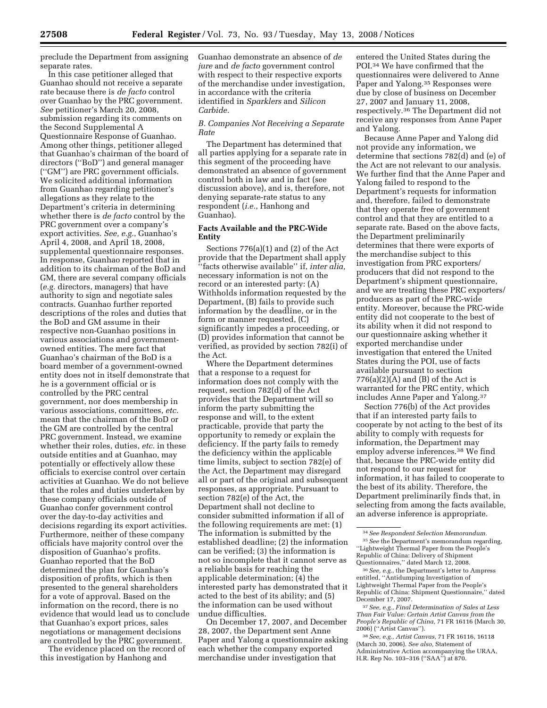preclude the Department from assigning separate rates.

In this case petitioner alleged that Guanhao should not receive a separate rate because there is *de facto* control over Guanhao by the PRC government. *See* petitioner's March 20, 2008, submission regarding its comments on the Second Supplemental A Questionnaire Response of Guanhao. Among other things, petitioner alleged that Guanhao's chairman of the board of directors (''BoD'') and general manager (''GM'') are PRC government officials. We solicited additional information from Guanhao regarding petitioner's allegations as they relate to the Department's criteria in determining whether there is *de facto* control by the PRC government over a company's export activities. *See, e.g.*, Guanhao's April 4, 2008, and April 18, 2008, supplemental questionnaire responses. In response, Guanhao reported that in addition to its chairman of the BoD and GM, there are several company officials (*e.g.* directors, managers) that have authority to sign and negotiate sales contracts. Guanhao further reported descriptions of the roles and duties that the BoD and GM assume in their respective non-Guanhao positions in various associations and governmentowned entities. The mere fact that Guanhao's chairman of the BoD is a board member of a government-owned entity does not in itself demonstrate that he is a government official or is controlled by the PRC central government, nor does membership in various associations, committees, *etc.*  mean that the chairman of the BoD or the GM are controlled by the central PRC government. Instead, we examine whether their roles, duties, *etc.* in these outside entities and at Guanhao, may potentially or effectively allow these officials to exercise control over certain activities at Guanhao. We do not believe that the roles and duties undertaken by these company officials outside of Guanhao confer government control over the day-to-day activities and decisions regarding its export activities. Furthermore, neither of these company officials have majority control over the disposition of Guanhao's profits. Guanhao reported that the BoD determined the plan for Guanhao's disposition of profits, which is then presented to the general shareholders for a vote of approval. Based on the information on the record, there is no evidence that would lead us to conclude that Guanhao's export prices, sales negotiations or management decisions are controlled by the PRC government.

The evidence placed on the record of this investigation by Hanhong and

Guanhao demonstrate an absence of *de jure* and *de facto* government control with respect to their respective exports of the merchandise under investigation, in accordance with the criteria identified in *Sparklers* and *Silicon Carbide.* 

## *B. Companies Not Receiving a Separate Rate*

The Department has determined that all parties applying for a separate rate in this segment of the proceeding have demonstrated an absence of government control both in law and in fact (see discussion above), and is, therefore, not denying separate-rate status to any respondent (*i.e.*, Hanhong and Guanhao).

## **Facts Available and the PRC-Wide Entity**

Sections 776(a)(1) and (2) of the Act provide that the Department shall apply ''facts otherwise available'' if, *inter alia,*  necessary information is not on the record or an interested party: (A) Withholds information requested by the Department, (B) fails to provide such information by the deadline, or in the form or manner requested, (C) significantly impedes a proceeding, or (D) provides information that cannot be verified, as provided by section 782(i) of the Act.

Where the Department determines that a response to a request for information does not comply with the request, section 782(d) of the Act provides that the Department will so inform the party submitting the response and will, to the extent practicable, provide that party the opportunity to remedy or explain the deficiency. If the party fails to remedy the deficiency within the applicable time limits, subject to section 782(e) of the Act, the Department may disregard all or part of the original and subsequent responses, as appropriate. Pursuant to section 782(e) of the Act, the Department shall not decline to consider submitted information if all of the following requirements are met: (1) The information is submitted by the established deadline; (2) the information can be verified; (3) the information is not so incomplete that it cannot serve as a reliable basis for reaching the applicable determination; (4) the interested party has demonstrated that it acted to the best of its ability; and (5) the information can be used without undue difficulties.

On December 17, 2007, and December 28, 2007, the Department sent Anne Paper and Yalong a questionnaire asking each whether the company exported merchandise under investigation that

entered the United States during the POI.34 We have confirmed that the questionnaires were delivered to Anne Paper and Yalong.35 Responses were due by close of business on December 27, 2007 and January 11, 2008, respectively.36 The Department did not receive any responses from Anne Paper and Yalong.

Because Anne Paper and Yalong did not provide any information, we determine that sections 782(d) and (e) of the Act are not relevant to our analysis. We further find that the Anne Paper and Yalong failed to respond to the Department's requests for information and, therefore, failed to demonstrate that they operate free of government control and that they are entitled to a separate rate. Based on the above facts, the Department preliminarily determines that there were exports of the merchandise subject to this investigation from PRC exporters/ producers that did not respond to the Department's shipment questionnaire, and we are treating these PRC exporters/ producers as part of the PRC-wide entity. Moreover, because the PRC-wide entity did not cooperate to the best of its ability when it did not respond to our questionnaire asking whether it exported merchandise under investigation that entered the United States during the POI, use of facts available pursuant to section  $776(a)(2)(A)$  and  $(B)$  of the Act is warranted for the PRC entity, which includes Anne Paper and Yalong.37

Section 776(b) of the Act provides that if an interested party fails to cooperate by not acting to the best of its ability to comply with requests for information, the Department may employ adverse inferences.38 We find that, because the PRC-wide entity did not respond to our request for information, it has failed to cooperate to the best of its ability. Therefore, the Department preliminarily finds that, in selecting from among the facts available, an adverse inference is appropriate.

37*See, e.g., Final Determination of Sales at Less Than Fair Value: Certain Artist Canvas from the People's Republic of China,* 71 FR 16116 (March 30, 2006) (''Artist Canvas'').

38*See, e.g., Artist Canvas,* 71 FR 16116, 16118 (March 30, 2006). *See also,* Statement of Administrative Action accompanying the URAA, H.R. Rep No. 103–316 (''SAA'') at 870.

<sup>34</sup>*See Respondent Selection Memorandum.*  35*See* the Department's memorandum regarding, ''Lightweight Thermal Paper from the People's Republic of China: Delivery of Shipment Questionnaires,'' dated March 12, 2008.

<sup>36</sup>*See, e.g.*, the Department's letter to Ampress entitled, ''Antidumping Investigation of Lightweight Thermal Paper from the People's Republic of China: Shipment Questionnaire,'' dated December 17, 2007.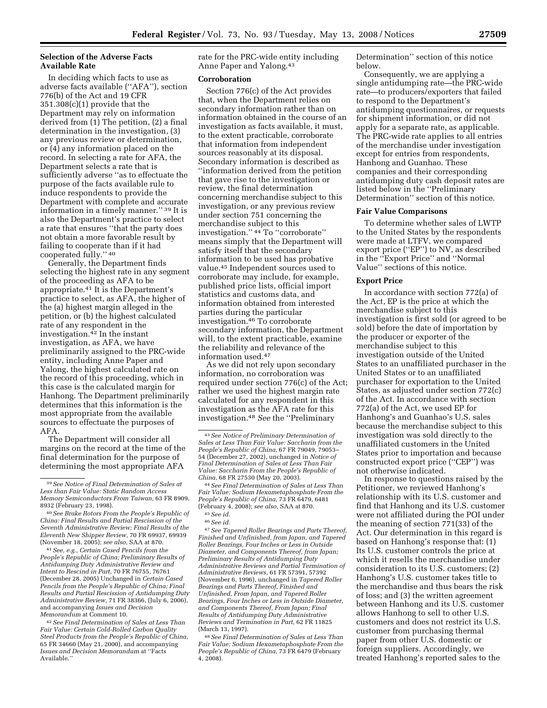## **Selection of the Adverse Facts Available Rate**

In deciding which facts to use as adverse facts available (''AFA''), section 776(b) of the Act and 19 CFR 351.308(c)(1) provide that the Department may rely on information derived from (1) The petition, (2) a final determination in the investigation, (3) any previous review or determination, or (4) any information placed on the record. In selecting a rate for AFA, the Department selects a rate that is sufficiently adverse ''as to effectuate the purpose of the facts available rule to induce respondents to provide the Department with complete and accurate information in a timely manner.'' 39 It is also the Department's practice to select a rate that ensures ''that the party does not obtain a more favorable result by failing to cooperate than if it had cooperated fully.'' 40

Generally, the Department finds selecting the highest rate in any segment of the proceeding as AFA to be appropriate.41 It is the Department's practice to select, as AFA, the higher of the (a) highest margin alleged in the petition, or (b) the highest calculated rate of any respondent in the investigation.42 In the instant investigation, as AFA, we have preliminarily assigned to the PRC-wide entity, including Anne Paper and Yalong, the highest calculated rate on the record of this proceeding, which in this case is the calculated margin for Hanhong. The Department preliminarily determines that this information is the most appropriate from the available sources to effectuate the purposes of AFA.

The Department will consider all margins on the record at the time of the final determination for the purpose of determining the most appropriate AFA

41*See, e.g., Certain Cased Pencils from the People's Republic of China; Preliminary Results of Antidumping Duty Administrative Review and Intent to Rescind in Part,* 70 FR 76755, 76761 (December 28, 2005) Unchanged in *Certain Cased Pencils from the People's Republic of China; Final Results and Partial Rescission of Antidumping Duty Administrative Review,* 71 FR 38366, (July 6, 2006), and accompanying *Issues and Decision Memorandum* at Comment 10.

42*See Final Determination of Sales at Less Than Fair Value: Certain Cold-Rolled Carbon Quality Steel Products from the People's Republic of China,*  65 FR 34660 (May 21, 2000), and accompanying *Issues and Decision Memorandum* at ''Facts Available.''

rate for the PRC-wide entity including Anne Paper and Yalong.43

#### **Corroboration**

Section 776(c) of the Act provides that, when the Department relies on secondary information rather than on information obtained in the course of an investigation as facts available, it must, to the extent practicable, corroborate that information from independent sources reasonably at its disposal. Secondary information is described as ''information derived from the petition that gave rise to the investigation or review, the final determination concerning merchandise subject to this investigation, or any previous review under section 751 concerning the merchandise subject to this investigation.'' 44 To ''corroborate'' means simply that the Department will satisfy itself that the secondary information to be used has probative value.45 Independent sources used to corroborate may include, for example, published price lists, official import statistics and customs data, and information obtained from interested parties during the particular investigation.46 To corroborate secondary information, the Department will, to the extent practicable, examine the reliability and relevance of the information used.47

As we did not rely upon secondary information, no corroboration was required under section 776(c) of the Act; rather we used the highest margin rate calculated for any respondent in this investigation as the AFA rate for this investigation.48 *See* the ''Preliminary

*Fair Value: Sodium Hexametaphosphate From the People's Republic of China,* 73 FR 6479, 6481 (February 4, 2008); *see also,* SAA at 870.

47*See Tapered Roller Bearings and Parts Thereof, Finished and Unfinished, from Japan, and Tapered Roller Bearings, Four Inches or Less in Outside Diameter, and Components Thereof, from Japan; Preliminary Results of Antidumping Duty Administrative Reviews and Partial Termination of Administrative Reviews,* 61 FR 57391, 57392 (November 6, 1996), unchanged in *Tapered Roller Bearings and Parts Thereof, Finished and Unfinished, From Japan, and Tapered Roller Bearings, Four Inches or Less in Outside Diameter, and Components Thereof, From Japan; Final Results of Antidumping Duty Administrative Reviews and Termination in Part,* 62 FR 11825 (March 13, 1997).

48*See Final Determination of Sales at Less Than Fair Value: Sodium Hexametaphosphate From the People's Republic of China,* 73 FR 6479 (February 4, 2008).

Determination'' section of this notice below.

Consequently, we are applying a single antidumping rate—the PRC-wide rate—to producers/exporters that failed to respond to the Department's antidumping questionnaires, or requests for shipment information, or did not apply for a separate rate, as applicable. The PRC-wide rate applies to all entries of the merchandise under investigation except for entries from respondents, Hanhong and Guanhao. These companies and their corresponding antidumping duty cash deposit rates are listed below in the ''Preliminary Determination'' section of this notice.

#### **Fair Value Comparisons**

To determine whether sales of LWTP to the United States by the respondents were made at LTFV, we compared export price (''EP'') to NV, as described in the ''Export Price'' and ''Normal Value'' sections of this notice.

### **Export Price**

In accordance with section 772(a) of the Act, EP is the price at which the merchandise subject to this investigation is first sold (or agreed to be sold) before the date of importation by the producer or exporter of the merchandise subject to this investigation outside of the United States to an unaffiliated purchaser in the United States or to an unaffiliated purchaser for exportation to the United States, as adjusted under section 772(c) of the Act. In accordance with section 772(a) of the Act, we used EP for Hanhong's and Guanhao's U.S. sales because the merchandise subject to this investigation was sold directly to the unaffiliated customers in the United States prior to importation and because constructed export price (''CEP'') was not otherwise indicated.

In response to questions raised by the Petitioner, we reviewed Hanhong's relationship with its U.S. customer and find that Hanhong and its U.S. customer were not affiliated during the POI under the meaning of section 771(33) of the Act. Our determination in this regard is based on Hanhong's response that: (1) Its U.S. customer controls the price at which it resells the merchandise under consideration to its U.S. customers; (2) Hanhong's U.S. customer takes title to the merchandise and thus bears the risk of loss; and (3) the written agreement between Hanhong and its U.S. customer allows Hanhong to sell to other U.S. customers and does not restrict its U.S. customer from purchasing thermal paper from other U.S. domestic or foreign suppliers. Accordingly, we treated Hanhong's reported sales to the

<sup>39</sup>*See Notice of Final Determination of Sales at Less than Fair Value: Static Random Access Memory Semiconductors From Taiwan,* 63 FR 8909, 8932 (February 23, 1998).

<sup>40</sup>*See Brake Rotors From the People's Republic of China: Final Results and Partial Rescission of the Seventh Administrative Review; Final Results of the Eleventh New Shipper Review,* 70 FR 69937, 69939 (November 18, 2005); *see also,* SAA at 870.

<sup>43</sup>*See Notice of Preliminary Determination of Sales at Less Than Fair Value: Saccharin from the People's Republic of China,* 67 FR 79049, 79053– 54 (December 27, 2002), unchanged in *Notice of Final Determination of Sales at Less Than Fair Value: Saccharin From the People's Republic of China,* 68 FR 27530 (May 20, 2003). 44*See Final Determination of Sales at Less Than* 

<sup>45</sup>*See id.* 

<sup>46</sup>*See id.*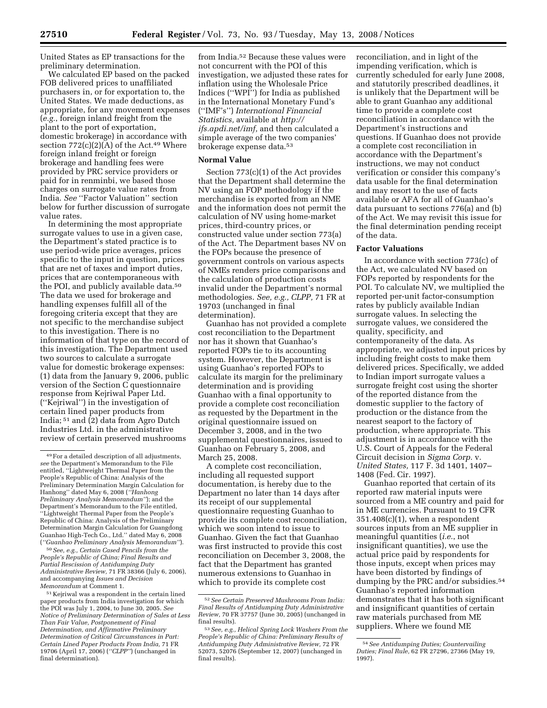United States as EP transactions for the preliminary determination.

We calculated EP based on the packed FOB delivered prices to unaffiliated purchasers in, or for exportation to, the United States. We made deductions, as appropriate, for any movement expenses (*e.g.*, foreign inland freight from the plant to the port of exportation, domestic brokerage) in accordance with section 772(c)(2)(A) of the Act.<sup>49</sup> Where foreign inland freight or foreign brokerage and handling fees were provided by PRC service providers or paid for in renminbi, we based those charges on surrogate value rates from India. *See* ''Factor Valuation'' section below for further discussion of surrogate value rates.

In determining the most appropriate surrogate values to use in a given case, the Department's stated practice is to use period-wide price averages, prices specific to the input in question, prices that are net of taxes and import duties, prices that are contemporaneous with the POI, and publicly available data.<sup>50</sup> The data we used for brokerage and handling expenses fulfill all of the foregoing criteria except that they are not specific to the merchandise subject to this investigation. There is no information of that type on the record of this investigation. The Department used two sources to calculate a surrogate value for domestic brokerage expenses: (1) data from the January 9, 2006, public version of the Section C questionnaire response from Kejriwal Paper Ltd. (''Kejriwal'') in the investigation of certain lined paper products from India; 51 and (2) data from Agro Dutch Industries Ltd. in the administrative review of certain preserved mushrooms

50*See, e.g., Certain Cased Pencils from the People's Republic of China; Final Results and Partial Rescission of Antidumping Duty Administrative Review,* 71 FR 38366 (July 6, 2006), and accompanying *Issues and Decision Memorandum* at Comment 1.

51 Kejriwal was a respondent in the certain lined paper products from India investigation for which the POI was July 1, 2004, to June 30, 2005. *See Notice of Preliminary Determination of Sales at Less Than Fair Value, Postponement of Final Determination, and Affirmative Preliminary Determination of Critical Circumstances in Part: Certain Lined Paper Products From India,* 71 FR 19706 (April 17, 2006) (*''CLPP''*) (unchanged in final determination).

from India.52 Because these values were not concurrent with the POI of this investigation, we adjusted these rates for inflation using the Wholesale Price Indices (''WPI'') for India as published in the International Monetary Fund's (''IMF's'') *International Financial Statistics,* available at *http:// ifs.apdi.net/imf,* and then calculated a simple average of the two companies' brokerage expense data.53

## **Normal Value**

Section 773(c)(1) of the Act provides that the Department shall determine the NV using an FOP methodology if the merchandise is exported from an NME and the information does not permit the calculation of NV using home-market prices, third-country prices, or constructed value under section 773(a) of the Act. The Department bases NV on the FOPs because the presence of government controls on various aspects of NMEs renders price comparisons and the calculation of production costs invalid under the Department's normal methodologies. *See, e.g., CLPP,* 71 FR at 19703 (unchanged in final determination).

Guanhao has not provided a complete cost reconciliation to the Department nor has it shown that Guanhao's reported FOPs tie to its accounting system. However, the Department is using Guanhao's reported FOPs to calculate its margin for the preliminary determination and is providing Guanhao with a final opportunity to provide a complete cost reconciliation as requested by the Department in the original questionnaire issued on December 3, 2008, and in the two supplemental questionnaires, issued to Guanhao on February 5, 2008, and March 25, 2008.

A complete cost reconciliation, including all requested support documentation, is hereby due to the Department no later than 14 days after its receipt of our supplemental questionnaire requesting Guanhao to provide its complete cost reconciliation, which we soon intend to issue to Guanhao. Given the fact that Guanhao was first instructed to provide this cost reconciliation on December 3, 2008, the fact that the Department has granted numerous extensions to Guanhao in which to provide its complete cost

reconciliation, and in light of the impending verification, which is currently scheduled for early June 2008, and statutorily prescribed deadlines, it is unlikely that the Department will be able to grant Guanhao any additional time to provide a complete cost reconciliation in accordance with the Department's instructions and questions. If Guanhao does not provide a complete cost reconciliation in accordance with the Department's instructions, we may not conduct verification or consider this company's data usable for the final determination and may resort to the use of facts available or AFA for all of Guanhao's data pursuant to sections 776(a) and (b) of the Act. We may revisit this issue for the final determination pending receipt of the data.

## **Factor Valuations**

In accordance with section 773(c) of the Act, we calculated NV based on FOPs reported by respondents for the POI. To calculate NV, we multiplied the reported per-unit factor-consumption rates by publicly available Indian surrogate values. In selecting the surrogate values, we considered the quality, specificity, and contemporaneity of the data. As appropriate, we adjusted input prices by including freight costs to make them delivered prices. Specifically, we added to Indian import surrogate values a surrogate freight cost using the shorter of the reported distance from the domestic supplier to the factory of production or the distance from the nearest seaport to the factory of production, where appropriate. This adjustment is in accordance with the U.S. Court of Appeals for the Federal Circuit decision in *Sigma Corp.* v. *United States,* 117 F. 3d 1401, 1407– 1408 (Fed. Cir. 1997).

Guanhao reported that certain of its reported raw material inputs were sourced from a ME country and paid for in ME currencies. Pursuant to 19 CFR  $351.408(c)(1)$ , when a respondent sources inputs from an ME supplier in meaningful quantities (*i.e.*, not insignificant quantities), we use the actual price paid by respondents for those inputs, except when prices may have been distorted by findings of dumping by the PRC and/or subsidies.<sup>54</sup> Guanhao's reported information demonstrates that it has both significant and insignificant quantities of certain raw materials purchased from ME suppliers. Where we found ME

<sup>49</sup>For a detailed description of all adjustments, *see* the Department's Memorandum to the File entitled, ''Lightweight Thermal Paper from the People's Republic of China: Analysis of the Preliminary Determination Margin Calculation for Hanhong'' dated May 6, 2008 (*''Hanhong Preliminary Analysis Memorandum''*); and the Department's Memorandum to the File entitled, ''Lightweight Thermal Paper from the People's Republic of China: Analysis of the Preliminary Determination Margin Calculation for Guangdong Guanhao High-Tech Co., Ltd.'' dated May 6, 2008 (*''Guanhao Preliminary Analysis Memorandum''*).

<sup>52</sup>*See Certain Preserved Mushrooms From India: Final Results of Antidumping Duty Administrative Review,* 70 FR 37757 (June 30, 2005) (unchanged in final results).

<sup>53</sup>*See, e.g., Helical Spring Lock Washers From the People's Republic of China: Preliminary Results of Antidumping Duty Administrative Review,* 72 FR 52073, 52076 (September 12, 2007) (unchanged in final results).

<sup>54</sup>*See Antidumping Duties; Countervailing Duties; Final Rule,* 62 FR 27296, 27366 (May 19, 1997).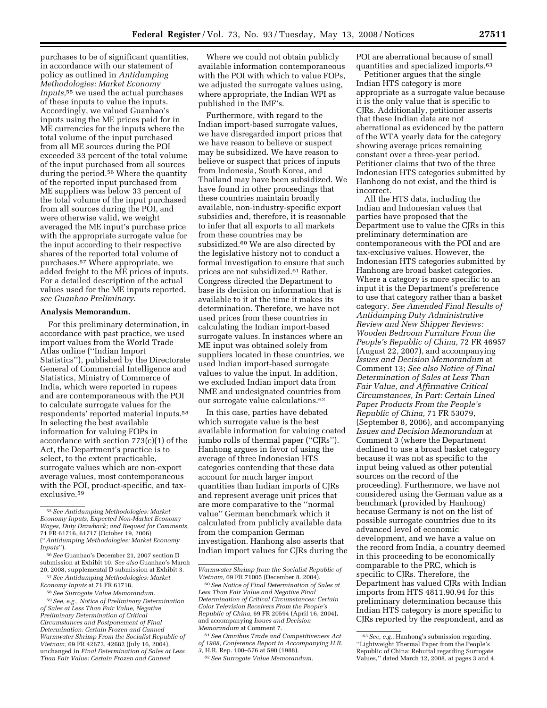purchases to be of significant quantities, in accordance with our statement of policy as outlined in *Antidumping Methodologies: Market Economy Inputs,*55 we used the actual purchases of these inputs to value the inputs. Accordingly, we valued Guanhao's inputs using the ME prices paid for in ME currencies for the inputs where the total volume of the input purchased from all ME sources during the POI exceeded 33 percent of the total volume of the input purchased from all sources during the period.56 Where the quantity of the reported input purchased from ME suppliers was below 33 percent of the total volume of the input purchased from all sources during the POI, and were otherwise valid, we weight averaged the ME input's purchase price with the appropriate surrogate value for the input according to their respective shares of the reported total volume of purchases.57 Where appropriate, we added freight to the ME prices of inputs. For a detailed description of the actual values used for the ME inputs reported, *see Guanhao Preliminary*.

## **Analysis Memorandum.**

For this preliminary determination, in accordance with past practice, we used import values from the World Trade Atlas online (''Indian Import Statistics''), published by the Directorate General of Commercial Intelligence and Statistics, Ministry of Commerce of India, which were reported in rupees and are contemporaneous with the POI to calculate surrogate values for the respondents' reported material inputs.58 In selecting the best available information for valuing FOPs in accordance with section 773(c)(1) of the Act, the Department's practice is to select, to the extent practicable, surrogate values which are non-export average values, most contemporaneous with the POI, product-specific, and taxexclusive.59

Where we could not obtain publicly available information contemporaneous with the POI with which to value FOPs. we adjusted the surrogate values using, where appropriate, the Indian WPI as published in the IMF's.

Furthermore, with regard to the Indian import-based surrogate values, we have disregarded import prices that we have reason to believe or suspect may be subsidized. We have reason to believe or suspect that prices of inputs from Indonesia, South Korea, and Thailand may have been subsidized. We have found in other proceedings that these countries maintain broadly available, non-industry-specific export subsidies and, therefore, it is reasonable to infer that all exports to all markets from these countries may be subsidized.<sup>60</sup> We are also directed by the legislative history not to conduct a formal investigation to ensure that such prices are not subsidized.61 Rather, Congress directed the Department to base its decision on information that is available to it at the time it makes its determination. Therefore, we have not used prices from these countries in calculating the Indian import-based surrogate values. In instances where an ME input was obtained solely from suppliers located in these countries, we used Indian import-based surrogate values to value the input. In addition, we excluded Indian import data from NME and undesignated countries from our surrogate value calculations.62

In this case, parties have debated which surrogate value is the best available information for valuing coated jumbo rolls of thermal paper (''CJRs''). Hanhong argues in favor of using the average of three Indonesian HTS categories contending that these data account for much larger import quantities than Indian imports of CJRs and represent average unit prices that are more comparative to the ''normal value'' German benchmark which it calculated from publicly available data from the companion German investigation. Hanhong also asserts that Indian import values for CJRs during the

61*See Omnibus Trade and Competitiveness Act of 1988, Conference Report to Accompanying H.R. 3,* H.R. Rep. 100–576 at 590 (1988).

62*See Surrogate Value Memorandum.* 

POI are aberrational because of small quantities and specialized imports.63

Petitioner argues that the single Indian HTS category is more appropriate as a surrogate value because it is the only value that is specific to CJRs. Additionally, petitioner asserts that these Indian data are not aberrational as evidenced by the pattern of the WTA yearly data for the category showing average prices remaining constant over a three-year period. Petitioner claims that two of the three Indonesian HTS categories submitted by Hanhong do not exist, and the third is incorrect.

All the HTS data, including the Indian and Indonesian values that parties have proposed that the Department use to value the CJRs in this preliminary determination are contemporaneous with the POI and are tax-exclusive values. However, the Indonesian HTS categories submitted by Hanhong are broad basket categories. Where a category is more specific to an input it is the Department's preference to use that category rather than a basket category. *See Amended Final Results of Antidumping Duty Administrative Review and New Shipper Reviews: Wooden Bedroom Furniture From the People's Republic of China,* 72 FR 46957 (August 22, 2007), and accompanying *Issues and Decision Memorandum* at Comment 13; *See also Notice of Final Determination of Sales at Less Than Fair Value, and Affirmative Critical Circumstances, In Part: Certain Lined Paper Products From the People's Republic of China,* 71 FR 53079, (September 8, 2006), and accompanying *Issues and Decision Memorandum* at Comment 3 (where the Department declined to use a broad basket category because it was not as specific to the input being valued as other potential sources on the record of the proceeding). Furthermore, we have not considered using the German value as a benchmark (provided by Hanhong) because Germany is not on the list of possible surrogate countries due to its advanced level of economic development, and we have a value on the record from India, a country deemed in this proceeding to be economically comparable to the PRC, which is specific to CJRs. Therefore, the Department has valued CJRs with Indian imports from HTS 4811.90.94 for this preliminary determination because this Indian HTS category is more specific to CJRs reported by the respondent, and as

<sup>55</sup>*See Antidumping Methodologies: Market Economy Inputs, Expected Non-Market Economy Wages, Duty Drawback; and Request for Comments,*  71 FR 61716, 61717 (October 19, 2006) (''*Antidumping Methodologies: Market Economy Inputs*'').

<sup>56</sup>*See* Guanhao's December 21, 2007 section D submission at Exhibit 10. *See also* Guanhao's March 20, 2008, supplemental D submission at Exhibit 3.

<sup>57</sup>*See Antidumping Methodologies: Market Economy Inputs* at 71 FR 61718.

<sup>58</sup>*See Surrogate Value Memorandum.* 

<sup>59</sup>*See, e.g., Notice of Preliminary Determination of Sales at Less Than Fair Value, Negative Preliminary Determination of Critical Circumstances and Postponement of Final Determination: Certain Frozen and Canned Warmwater Shrimp From the Socialist Republic of Vietnam,* 69 FR 42672, 42682 (July 16, 2004), unchanged in *Final Determination of Sales at Less Than Fair Value: Certain Frozen and Canned* 

*Warmwater Shrimp from the Socialist Republic of Vietnam,* 69 FR 71005 (December 8. 2004).

<sup>60</sup>*See Notice of Final Determination of Sales at Less Than Fair Value and Negative Final Determination of Critical Circumstances: Certain Color Television Receivers From the People's Republic of China,* 69 FR 20594 (April 16, 2004), and accompanying *Issues and Decision Memorandum* at Comment 7.

<sup>63</sup>*See, e.g.*, Hanhong's submission regarding, ''Lightweight Thermal Paper from the People's Republic of China: Rebuttal regarding Surrogate Values,'' dated March 12, 2008, at pages 3 and 4.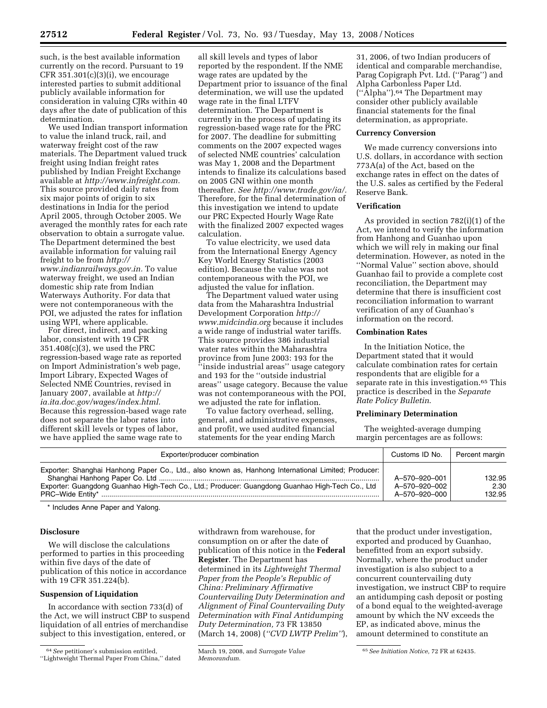such, is the best available information currently on the record. Pursuant to 19 CFR  $351.301(c)(3)(i)$ , we encourage interested parties to submit additional publicly available information for consideration in valuing CJRs within 40 days after the date of publication of this determination.

We used Indian transport information to value the inland truck, rail, and waterway freight cost of the raw materials. The Department valued truck freight using Indian freight rates published by Indian Freight Exchange available at *http://www.infreight.com.*  This source provided daily rates from six major points of origin to six destinations in India for the period April 2005, through October 2005. We averaged the monthly rates for each rate observation to obtain a surrogate value. The Department determined the best available information for valuing rail freight to be from *http:// www.indianrailways.gov.in.* To value waterway freight, we used an Indian domestic ship rate from Indian Waterways Authority. For data that were not contemporaneous with the POI, we adjusted the rates for inflation using WPI, where applicable.

For direct, indirect, and packing labor, consistent with 19 CFR 351.408(c)(3), we used the PRC regression-based wage rate as reported on Import Administration's web page, Import Library, Expected Wages of Selected NME Countries, revised in January 2007, available at *http:// ia.ita.doc.gov/wages/index.html.*  Because this regression-based wage rate does not separate the labor rates into different skill levels or types of labor, we have applied the same wage rate to

all skill levels and types of labor reported by the respondent. If the NME wage rates are updated by the Department prior to issuance of the final determination, we will use the updated wage rate in the final LTFV determination. The Department is currently in the process of updating its regression-based wage rate for the PRC for 2007. The deadline for submitting comments on the 2007 expected wages of selected NME countries' calculation was May 1, 2008 and the Department intends to finalize its calculations based on 2005 GNI within one month thereafter. *See http://www.trade.gov/ia/.*  Therefore, for the final determination of this investigation we intend to update our PRC Expected Hourly Wage Rate with the finalized 2007 expected wages calculation.

To value electricity, we used data from the International Energy Agency Key World Energy Statistics (2003 edition). Because the value was not contemporaneous with the POI, we adjusted the value for inflation.

The Department valued water using data from the Maharashtra Industrial Development Corporation *http:// www.midcindia.org* because it includes a wide range of industrial water tariffs. This source provides 386 industrial water rates within the Maharashtra province from June 2003: 193 for the ''inside industrial areas'' usage category and 193 for the ''outside industrial areas'' usage category. Because the value was not contemporaneous with the POI, we adjusted the rate for inflation.

To value factory overhead, selling, general, and administrative expenses, and profit, we used audited financial statements for the year ending March

31, 2006, of two Indian producers of identical and comparable merchandise, Parag Copigraph Pvt. Ltd. (''Parag'') and Alpha Carbonless Paper Ltd. (''Alpha'').64 The Department may consider other publicly available financial statements for the final determination, as appropriate.

#### **Currency Conversion**

We made currency conversions into U.S. dollars, in accordance with section 773A(a) of the Act, based on the exchange rates in effect on the dates of the U.S. sales as certified by the Federal Reserve Bank.

# **Verification**

As provided in section 782(i)(1) of the Act, we intend to verify the information from Hanhong and Guanhao upon which we will rely in making our final determination. However, as noted in the ''Normal Value'' section above, should Guanhao fail to provide a complete cost reconciliation, the Department may determine that there is insufficient cost reconciliation information to warrant verification of any of Guanhao's information on the record.

#### **Combination Rates**

In the Initiation Notice, the Department stated that it would calculate combination rates for certain respondents that are eligible for a separate rate in this investigation.<sup>65</sup> This practice is described in the *Separate Rate Policy Bulletin*.

#### **Preliminary Determination**

The weighted-average dumping margin percentages are as follows:

| Exporter/producer combination                                                                                                                                                                          | Customs ID No.                 | Percent margin |
|--------------------------------------------------------------------------------------------------------------------------------------------------------------------------------------------------------|--------------------------------|----------------|
| Exporter: Shanghai Hanhong Paper Co., Ltd., also known as, Hanhong International Limited; Producer:<br>Exporter: Guangdong Guanhao High-Tech Co., Ltd.; Producer: Guangdong Guanhao High-Tech Co., Ltd | A-570-920-001<br>A-570-920-002 | 132.95<br>2.30 |
| PRC-Wide Entity*                                                                                                                                                                                       | A-570-920-000                  | 132.95         |

\* Includes Anne Paper and Yalong.

# **Disclosure**

We will disclose the calculations performed to parties in this proceeding within five days of the date of publication of this notice in accordance with 19 CFR 351.224(b).

### **Suspension of Liquidation**

In accordance with section 733(d) of the Act, we will instruct CBP to suspend liquidation of all entries of merchandise subject to this investigation, entered, or

withdrawn from warehouse, for consumption on or after the date of publication of this notice in the **Federal Register**. The Department has determined in its *Lightweight Thermal Paper from the People's Republic of China: Preliminary Affirmative Countervailing Duty Determination and Alignment of Final Countervailing Duty Determination with Final Antidumping Duty Determination,* 73 FR 13850 (March 14, 2008) (*''CVD LWTP Prelim''*),

that the product under investigation, exported and produced by Guanhao, benefitted from an export subsidy. Normally, where the product under investigation is also subject to a concurrent countervailing duty investigation, we instruct CBP to require an antidumping cash deposit or posting of a bond equal to the weighted-average amount by which the NV exceeds the EP, as indicated above, minus the amount determined to constitute an

<sup>64</sup>*See* petitioner's submission entitled, ''Lightweight Thermal Paper From China,'' dated

March 19, 2008, and *Surrogate Value Memorandum.* 

<sup>65</sup>*See Initiation Notice,* 72 FR at 62435.